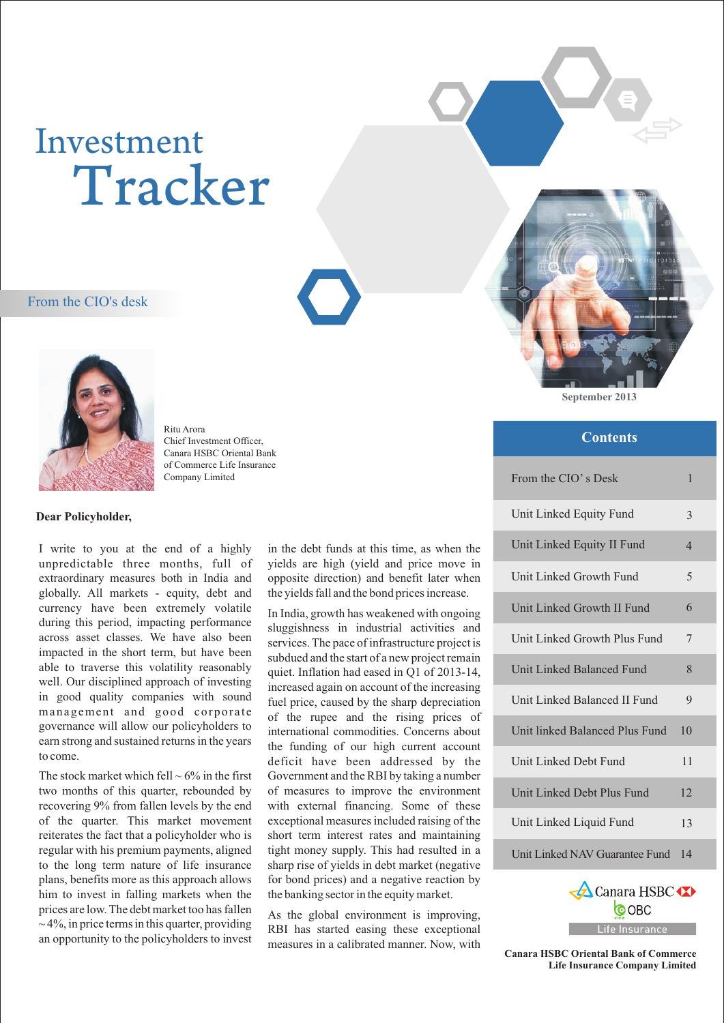# Investment Tracker

#### From the CIO's desk



Ritu Arora Chief Investment Officer, Canara HSBC Oriental Bank of Commerce Life Insurance Company Limited

#### **Dear Policyholder,**

I write to you at the end of a highly unpredictable three months, full of extraordinary measures both in India and globally. All markets - equity, debt and currency have been extremely volatile during this period, impacting performance across asset classes. We have also been impacted in the short term, but have been able to traverse this volatility reasonably well. Our disciplined approach of investing in good quality companies with sound management and good corporate governance will allow our policyholders to earn strong and sustained returns in the years to come.

The stock market which fell  $\sim 6\%$  in the first two months of this quarter, rebounded by recovering 9% from fallen levels by the end of the quarter. This market movement reiterates the fact that a policyholder who is regular with his premium payments, aligned to the long term nature of life insurance plans, benefits more as this approach allows him to invest in falling markets when the prices are low. The debt market too has fallen  $\sim$  4%, in price terms in this quarter, providing an opportunity to the policyholders to invest

in the debt funds at this time, as when the yields are high (yield and price move in opposite direction) and benefit later when the yields fall and the bond prices increase.

In India, growth has weakened with ongoing sluggishness in industrial activities and services. The pace of infrastructure project is subdued and the start of a new project remain quiet. Inflation had eased in Q1 of 2013-14, increased again on account of the increasing fuel price, caused by the sharp depreciation of the rupee and the rising prices of international commodities. Concerns about the funding of our high current account deficit have been addressed by the Government and the RBI by taking a number of measures to improve the environment with external financing. Some of these exceptional measures included raising of the short term interest rates and maintaining tight money supply. This had resulted in a sharp rise of yields in debt market (negative for bond prices) and a negative reaction by the banking sector in the equity market.

As the global environment is improving, RBI has started easing these exceptional measures in a calibrated manner. Now, with **September 2013**

#### **Contents**

| From the CIO's Desk            | 1              |
|--------------------------------|----------------|
| Unit Linked Equity Fund        | 3              |
| Unit Linked Equity II Fund     | $\overline{4}$ |
| Unit Linked Growth Fund        | 5              |
| Unit Linked Growth II Fund     | 6              |
| Unit Linked Growth Plus Fund   | 7              |
| Unit Linked Balanced Fund      | 8              |
| Unit Linked Balanced II Fund   | 9              |
| Unit linked Balanced Plus Fund | 10             |
| Unit Linked Debt Fund          | 11             |
| Unit Linked Debt Plus Fund     | 12.            |
| Unit Linked Liquid Fund        | 13             |
| Unit Linked NAV Guarantee Fund | 14             |
|                                |                |



**Canara HSBC Oriental Bank of Comme rce Life Insurance Company Limited**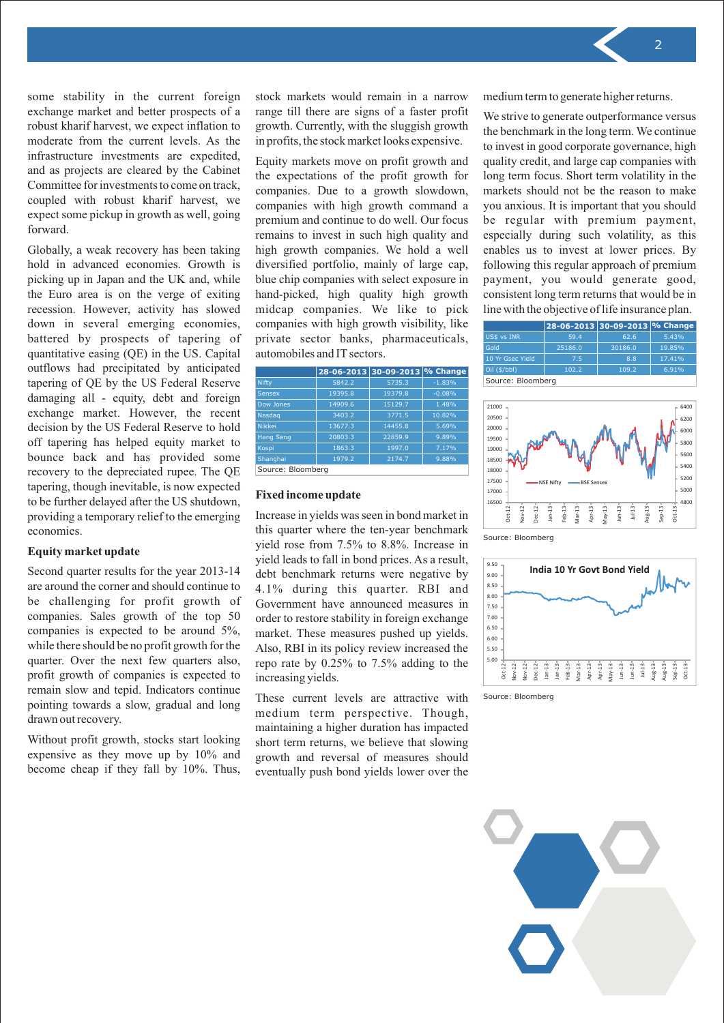some stability in the current foreign exchange market and better prospects of a robust kharif harvest, we expect inflation to moderate from the current levels. As the infrastructure investments are expedited, and as projects are cleared by the Cabinet Committee for investments to come on track, coupled with robust kharif harvest, we expect some pickup in growth as well, going forward.

Globally, a weak recovery has been taking hold in advanced economies. Growth is picking up in Japan and the UK and, while the Euro area is on the verge of exiting recession. However, activity has slowed down in several emerging economies, battered by prospects of tapering of quantitative easing (QE) in the US. Capital outflows had precipitated by anticipated tapering of QE by the US Federal Reserve damaging all - equity, debt and foreign exchange market. However, the recent decision by the US Federal Reserve to hold off tapering has helped equity market to bounce back and has provided some recovery to the depreciated rupee. The QE tapering, though inevitable, is now expected to be further delayed after the US shutdown, providing a temporary relief to the emerging economies.

#### **Equity market update**

Second quarter results for the year 2013-14 are around the corner and should continue to be challenging for profit growth of companies. Sales growth of the top 50 companies is expected to be around 5%, while there should be no profit growth for the quarter. Over the next few quarters also, profit growth of companies is expected to remain slow and tepid. Indicators continue pointing towards a slow, gradual and long drawn out recovery.

Without profit growth, stocks start looking expensive as they move up by 10% and become cheap if they fall by 10%. Thus, stock markets would remain in a narrow range till there are signs of a faster profit growth. Currently, with the sluggish growth in profits, the stock market looks expensive.

Equity markets move on profit growth and the expectations of the profit growth for companies. Due to a growth slowdown, companies with high growth command a premium and continue to do well. Our focus remains to invest in such high quality and high growth companies. We hold a well diversified portfolio, mainly of large cap, blue chip companies with select exposure in hand-picked, high quality high growth midcap companies. We like to pick companies with high growth visibility, like private sector banks, pharmaceuticals, automobiles and IT sectors.

|                   |         | 28-06-2013 30-09-2013 % Change |          |
|-------------------|---------|--------------------------------|----------|
| Nifty             | 5842.2  | 5735.3                         | $-1.83%$ |
| <b>Sensex</b>     | 19395.8 | 19379.8                        | $-0.08%$ |
| Dow Jones         | 14909.6 | 15129.7                        | 1.48%    |
| Nasdaq            | 3403.2  | 3771.5                         | 10.82%   |
| <b>Nikkei</b>     | 13677.3 | 14455.8                        | 5.69%    |
| <b>Hang Seng</b>  | 20803.3 | 22859.9                        | 9.89%    |
| Kospi             | 1863.3  | 1997.0                         | 7.17%    |
| Shanghai          | 1979.2  | 2174.7                         | 9.88%    |
| Source: Bloomberg |         |                                |          |

#### **Fixed income update**

Increase in yields was seen in bond market in this quarter where the ten-year benchmark yield rose from 7.5% to 8.8%. Increase in yield leads to fall in bond prices. As a result, debt benchmark returns were negative by 4.1% during this quarter. RBI and Government have announced measures in order to restore stability in foreign exchange market. These measures pushed up yields. Also, RBI in its policy review increased the repo rate by 0.25% to 7.5% adding to the increasing yields.

These current levels are attractive with medium term perspective. Though, maintaining a higher duration has impacted short term returns, we believe that slowing growth and reversal of measures should eventually push bond yields lower over the medium term to generate higher returns.

We strive to generate outperformance versus the benchmark in the long term. We continue to invest in good corporate governance, high quality credit, and large cap companies with long term focus. Short term volatility in the markets should not be the reason to make you anxious. It is important that you should be regular with premium payment, especially during such volatility, as this enables us to invest at lower prices. By following this regular approach of premium payment, you would generate good, consistent long term returns that would be in line with the objective of life insurance plan.

| ith high growth visibility, like                  |                                |                  |              | 28-06-2013 30-09-2013 % Change |        |       |
|---------------------------------------------------|--------------------------------|------------------|--------------|--------------------------------|--------|-------|
| tor banks, pharmaceuticals,<br>and IT sectors.    |                                | US\$ vs INR      | 59.4         | 62.6                           | 5.43%  |       |
|                                                   |                                | Gold             | 25186.0      | 30186.0                        | 19.85% |       |
|                                                   |                                | 10 Yr Gsec Yield | 7.5          | 8.8                            | 17.41% |       |
|                                                   | 28-06-2013 30-09-2013 % Change |                  | Oil (\$/bbl) | 102.2                          | 109.2  | 6.91% |
| Source: Bloomberg<br>5842.2<br>$-1.83%$<br>5735.3 |                                |                  |              |                                |        |       |



Source: Bloomberg



Source: Bloomberg

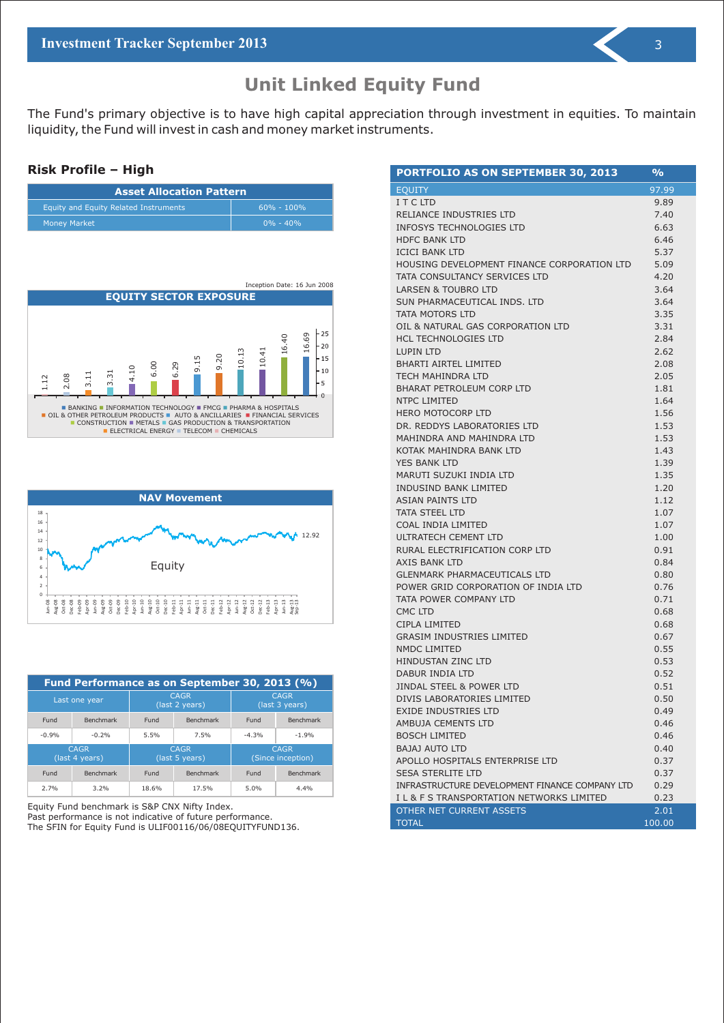The Fund's primary objective is to have high capital appreciation through investment in equities. To maintain liquidity, the Fund will invest in cash and money market instruments.

#### **Risk Profile – High**

| <b>Asset Allocation Pattern</b>       |                |  |  |
|---------------------------------------|----------------|--|--|
| Equity and Equity Related Instruments | $60\% - 100\%$ |  |  |
| <b>Money Market</b>                   | $0\% - 40\%$   |  |  |





| Fund Performance as on September 30, 2013 (%) |                               |                               |                  |                                  |                               |
|-----------------------------------------------|-------------------------------|-------------------------------|------------------|----------------------------------|-------------------------------|
|                                               | Last one year                 | <b>CAGR</b><br>(last 2 years) |                  |                                  | <b>CAGR</b><br>(last 3 years) |
| Fund                                          | <b>Benchmark</b>              | Fund                          | <b>Benchmark</b> | Fund                             | <b>Benchmark</b>              |
| $-0.9%$                                       | $-0.2%$                       | 5.5%                          | 7.5%             | $-4.3%$                          | $-1.9%$                       |
|                                               | <b>CAGR</b><br>(last 4 years) | <b>CAGR</b><br>(last 5 years) |                  | <b>CAGR</b><br>(Since inception) |                               |
| Fund                                          | <b>Benchmark</b>              | Fund                          | <b>Benchmark</b> | Fund                             | <b>Benchmark</b>              |
| 2.7%                                          | 3.2%                          | 18.6%                         | 17.5%            | 5.0%                             | 4.4%                          |

Equity Fund benchmark is S&P CNX Nifty Index. Past performance is not indicative of future performance. The SFIN for Equity Fund is ULIF00116/06/08EQUITYFUND136.

| PORTFOLIO AS ON SEPTEMBER 30, 2013             | %      |
|------------------------------------------------|--------|
| <b>EQUITY</b>                                  | 97.99  |
| I T C LTD                                      | 9.89   |
| RELIANCE INDUSTRIES LTD                        | 7.40   |
| <b>INFOSYS TECHNOLOGIES LTD</b>                | 6.63   |
| <b>HDFC BANK LTD</b>                           | 6.46   |
| <b>ICICI BANK LTD</b>                          | 5.37   |
| HOUSING DEVELOPMENT FINANCE CORPORATION LTD    | 5.09   |
| TATA CONSULTANCY SERVICES LTD                  | 4.20   |
| <b>LARSEN &amp; TOUBRO LTD</b>                 | 3.64   |
| SUN PHARMACEUTICAL INDS. LTD                   | 3.64   |
| TATA MOTORS LTD                                | 3.35   |
| OIL & NATURAL GAS CORPORATION LTD              | 3.31   |
| <b>HCL TECHNOLOGIES LTD</b>                    | 2.84   |
| <b>LUPIN LTD</b>                               | 2.62   |
| <b>BHARTI AIRTEL LIMITED</b>                   | 2.08   |
| TECH MAHINDRA LTD                              | 2.05   |
| <b>BHARAT PETROLEUM CORP LTD</b>               | 1.81   |
| <b>NTPC LIMITED</b>                            | 1.64   |
| <b>HERO MOTOCORP LTD</b>                       | 1.56   |
| DR. REDDYS LABORATORIES LTD                    | 1.53   |
| MAHINDRA AND MAHINDRA LTD                      | 1.53   |
| KOTAK MAHINDRA BANK LTD                        | 1.43   |
| YES BANK LTD                                   | 1.39   |
| MARUTI SUZUKI INDIA LTD                        | 1.35   |
| <b>INDUSIND BANK LIMITED</b>                   | 1.20   |
| <b>ASIAN PAINTS LTD</b>                        | 1.12   |
| <b>TATA STEEL LTD</b>                          | 1.07   |
| COAL INDIA LIMITED                             | 1.07   |
| ULTRATECH CEMENT LTD                           | 1.00   |
| RURAL ELECTRIFICATION CORP LTD                 | 0.91   |
| <b>AXIS BANK LTD</b>                           | 0.84   |
| <b>GLENMARK PHARMACEUTICALS LTD</b>            | 0.80   |
| POWER GRID CORPORATION OF INDIA LTD            | 0.76   |
| TATA POWER COMPANY LTD                         | 0.71   |
| <b>CMC LTD</b>                                 | 0.68   |
| CIPLA LIMITED                                  | 0.68   |
| <b>GRASIM INDUSTRIES LIMITED</b>               | 0.67   |
| NMDC LIMITED                                   | 0.55   |
| <b>HINDUSTAN ZINC LTD</b>                      | 0.53   |
| DABUR INDIA LTD                                | 0.52   |
| <b>JINDAL STEEL &amp; POWER LTD</b>            | 0.51   |
| DIVIS LABORATORIES LIMITED                     | 0.50   |
| EXIDE INDUSTRIES LTD                           | 0.49   |
| AMBUJA CEMENTS LTD                             | 0.46   |
| <b>BOSCH LIMITED</b>                           | 0.46   |
| <b>BAJAJ AUTO LTD</b>                          | 0.40   |
| APOLLO HOSPITALS ENTERPRISE LTD                | 0.37   |
| <b>SESA STERLITE LTD</b>                       | 0.37   |
| INFRASTRUCTURE DEVELOPMENT FINANCE COMPANY LTD | 0.29   |
| IL & F S TRANSPORTATION NETWORKS LIMITED       | 0.23   |
| OTHER NET CURRENT ASSETS                       | 2.01   |
| <b>TOTAL</b>                                   | 100.00 |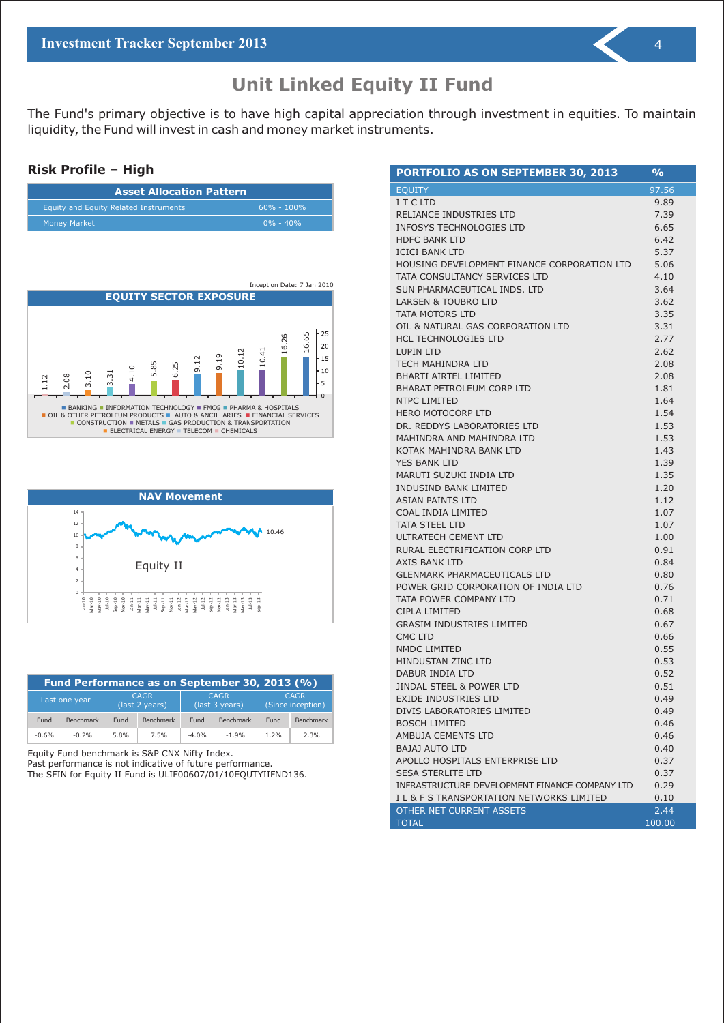The Fund's primary objective is to have high capital appreciation through investment in equities. To maintain liquidity, the Fund will invest in cash and money market instruments.

#### **Risk Profile – High**

| <b>Asset Allocation Pattern</b>       |                |  |  |
|---------------------------------------|----------------|--|--|
| Equity and Equity Related Instruments | $60\% - 100\%$ |  |  |
| <b>Money Market</b>                   | $0\% - 40\%$   |  |  |





| Fund Performance as on September 30, 2013 (%) |                  |      |                               |         |                               |      |                                  |
|-----------------------------------------------|------------------|------|-------------------------------|---------|-------------------------------|------|----------------------------------|
|                                               | Last one year    |      | <b>CAGR</b><br>(last 2 years) |         | <b>CAGR</b><br>(last 3 years) |      | <b>CAGR</b><br>(Since inception) |
| Fund                                          | <b>Benchmark</b> | Fund | Benchmark                     | Fund    | <b>Benchmark</b>              | Fund | Benchmark                        |
| $-0.6%$                                       | $-0.2%$          | 5.8% | 7.5%                          | $-4.0%$ | $-1.9%$                       | 1.2% | 2.3%                             |

Equity Fund benchmark is S&P CNX Nifty Index.

Past performance is not indicative of future performance.

The SFIN for Equity II Fund is ULIF00607/01/10EQUTYIIFND136.

| <b>PORTFOLIO AS ON SEPTEMBER 30, 2013</b>      | $\frac{6}{2}$ |
|------------------------------------------------|---------------|
| <b>EQUITY</b>                                  | 97.56         |
| I T C LTD                                      | 9.89          |
| RELIANCE INDUSTRIES LTD                        | 7.39          |
| INFOSYS TECHNOLOGIES LTD                       | 6.65          |
| <b>HDFC BANK LTD</b>                           | 6.42          |
| <b>ICICI BANK LTD</b>                          | 5.37          |
| HOUSING DEVELOPMENT FINANCE CORPORATION LTD    | 5.06          |
| TATA CONSULTANCY SERVICES LTD                  | 4.10          |
| SUN PHARMACEUTICAL INDS. LTD                   | 3.64          |
| <b>LARSEN &amp; TOUBRO LTD</b>                 | 3.62          |
| TATA MOTORS LTD                                | 3.35          |
| OIL & NATURAL GAS CORPORATION LTD              | 3.31          |
| <b>HCL TECHNOLOGIES LTD</b>                    | 2.77          |
| <b>LUPIN LTD</b>                               | 2.62          |
| <b>TECH MAHINDRA LTD</b>                       | 2.08          |
| <b>BHARTI AIRTEL LIMITED</b>                   | 2.08          |
| <b>BHARAT PETROLEUM CORP LTD</b>               | 1.81          |
| <b>NTPC LIMITED</b>                            | 1.64          |
| <b>HERO MOTOCORP LTD</b>                       | 1.54          |
| DR. REDDYS LABORATORIES LTD                    | 1.53          |
| MAHINDRA AND MAHINDRA LTD                      | 1.53          |
| KOTAK MAHINDRA BANK LTD                        | 1.43          |
| YES BANK LTD                                   | 1.39          |
| MARUTI SUZUKI INDIA LTD                        | 1.35          |
| INDUSIND BANK LIMITED                          | 1.20          |
| <b>ASIAN PAINTS LTD</b>                        | 1.12          |
| COAL INDIA LIMITED                             | 1.07          |
| <b>TATA STEEL LTD</b>                          | 1.07          |
| ULTRATECH CEMENT LTD                           | 1.00          |
| RURAL ELECTRIFICATION CORP LTD                 | 0.91          |
| <b>AXIS BANK LTD</b>                           | 0.84          |
| <b>GLENMARK PHARMACEUTICALS LTD</b>            | 0.80          |
| POWER GRID CORPORATION OF INDIA LTD            | 0.76          |
| TATA POWER COMPANY LTD                         | 0.71          |
| CIPLA LIMITED                                  | 0.68          |
| <b>GRASIM INDUSTRIES LIMITED</b>               | 0.67          |
| CMC LTD                                        | 0.66          |
| NMDC LIMITED                                   | 0.55          |
| <b>HINDUSTAN ZINC LTD</b>                      | 0.53          |
| DABUR INDIA LTD                                | 0.52          |
| <b>JINDAL STEEL &amp; POWER LTD</b>            | 0.51          |
| <b>EXIDE INDUSTRIES LTD</b>                    | 0.49          |
| DIVIS LABORATORIES LIMITED                     | 0.49          |
| <b>BOSCH LIMITED</b>                           | 0.46          |
| AMBUJA CEMENTS LTD                             | 0.46          |
| <b>BAJAJ AUTO LTD</b>                          | 0.40          |
| APOLLO HOSPITALS ENTERPRISE LTD                | 0.37          |
| <b>SESA STERLITE LTD</b>                       | 0.37          |
| INFRASTRUCTURE DEVELOPMENT FINANCE COMPANY LTD | 0.29          |
| I L & F S TRANSPORTATION NETWORKS LIMITED      | 0.10          |
| OTHER NET CURRENT ASSETS                       | 2.44          |

TOTAL 100.00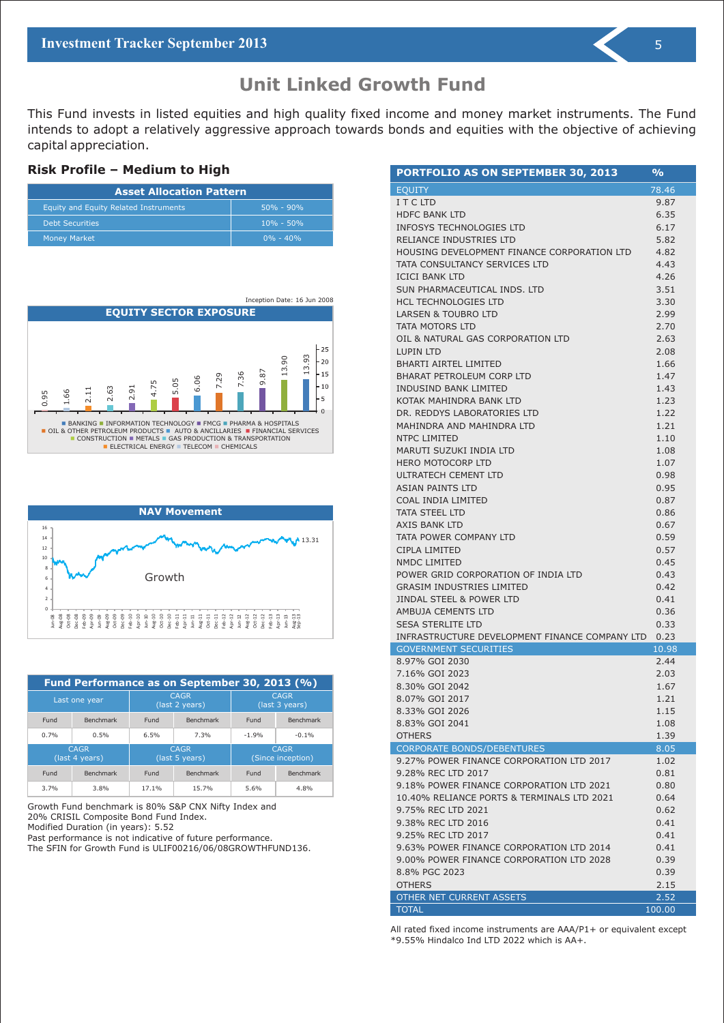### **Unit Linked Growth Fund**

This Fund invests in listed equities and high quality fixed income and money market instruments. The Fund intends to adopt a relatively aggressive approach towards bonds and equities with the objective of achieving capital appreciation.

#### **Risk Profile – Medium to High**

| <b>Asset Allocation Pattern</b>       |                |  |  |
|---------------------------------------|----------------|--|--|
| Equity and Equity Related Instruments | $150\% - 90\%$ |  |  |
| <b>Debt Securities</b>                | $10\% - 50\%$  |  |  |
| <b>Money Market</b>                   | $0\% - 40\%$   |  |  |





| Fund Performance as on September 30, 2013 (%) |                               |                               |                               |         |                                  |
|-----------------------------------------------|-------------------------------|-------------------------------|-------------------------------|---------|----------------------------------|
|                                               | Last one year                 | <b>CAGR</b><br>(last 2 years) |                               |         | <b>CAGR</b><br>(last 3 years)    |
| Fund                                          | <b>Benchmark</b>              | Fund                          | <b>Benchmark</b>              | Fund    | <b>Benchmark</b>                 |
| 0.7%                                          | 0.5%                          | 6.5%                          | 7.3%                          | $-1.9%$ | $-0.1%$                          |
|                                               | <b>CAGR</b><br>(last 4 years) |                               | <b>CAGR</b><br>(last 5 years) |         | <b>CAGR</b><br>(Since inception) |
| Fund                                          | <b>Benchmark</b>              | Fund                          | <b>Benchmark</b>              | Fund    | <b>Benchmark</b>                 |
| 3.7%                                          | 3.8%                          | 17.1%                         | 15.7%                         | 5.6%    | 4.8%                             |

Growth Fund benchmark is 80% S&P CNX Nifty Index and 20% CRISIL Composite Bond Fund Index.

Modified Duration (in years): 5.52

Past performance is not indicative of future performance. The SFIN for Growth Fund is ULIF00216/06/08GROWTHFUND136.

| PORTFOLIO AS ON SEPTEMBER 30, 2013                                            | $\frac{9}{6}$ |
|-------------------------------------------------------------------------------|---------------|
| <b>EQUITY</b>                                                                 | 78.46         |
| I T C LTD                                                                     | 9.87          |
| <b>HDFC BANK LTD</b>                                                          | 6.35          |
| INFOSYS TECHNOLOGIES LTD                                                      | 6.17          |
| RELIANCE INDUSTRIES LTD                                                       | 5.82          |
| HOUSING DEVELOPMENT FINANCE CORPORATION LTD                                   | 4.82          |
| TATA CONSULTANCY SERVICES LTD                                                 | 4.43          |
| <b>ICICI BANK LTD</b>                                                         | 4.26          |
| SUN PHARMACEUTICAL INDS, LTD                                                  | 3.51          |
| <b>HCL TECHNOLOGIES LTD</b>                                                   | 3.30          |
| <b>LARSEN &amp; TOUBRO LTD</b>                                                | 2.99          |
| TATA MOTORS LTD                                                               | 2.70          |
| OIL & NATURAL GAS CORPORATION LTD                                             | 2.63          |
| LUPIN LTD                                                                     | 2.08          |
| <b>BHARTI AIRTEL LIMITED</b>                                                  | 1.66          |
| <b>BHARAT PETROLEUM CORP LTD</b>                                              | 1.47          |
| <b>INDUSIND BANK LIMITED</b>                                                  | 1.43          |
| KOTAK MAHINDRA BANK LTD                                                       | 1.23          |
| DR. REDDYS LABORATORIES LTD                                                   | 1.22          |
| MAHINDRA AND MAHINDRA LTD                                                     | 1.21          |
| <b>NTPC LIMITED</b>                                                           | 1.10          |
| MARUTI SUZUKI INDIA LTD                                                       | 1.08          |
| <b>HERO MOTOCORP LTD</b>                                                      | 1.07          |
| ULTRATECH CEMENT LTD                                                          | 0.98          |
| <b>ASIAN PAINTS LTD</b>                                                       | 0.95          |
| COAL INDIA LIMITED                                                            | 0.87          |
| <b>TATA STEEL LTD</b>                                                         | 0.86          |
| AXIS BANK LTD                                                                 | 0.67          |
| TATA POWER COMPANY LTD                                                        | 0.59          |
| CIPLA LIMITED                                                                 | 0.57          |
| <b>NMDC LIMITED</b>                                                           | 0.45          |
| POWER GRID CORPORATION OF INDIA LTD                                           | 0.43          |
| <b>GRASIM INDUSTRIES LIMITED</b>                                              | 0.42          |
| <b>JINDAL STEEL &amp; POWER LTD</b>                                           | 0.41          |
| AMBUJA CEMENTS LTD                                                            | 0.36          |
| <b>SESA STERLITE LTD</b>                                                      | 0.33          |
| INFRASTRUCTURE DEVELOPMENT FINANCE COMPANY LTD 0.23                           |               |
| <b>GOVERNMENT SECURITIES</b>                                                  | 10.98         |
| 8.97% GOI 2030                                                                | 2.44          |
| 7.16% GOI 2023                                                                | 2.03          |
| 8.30% GOI 2042                                                                | 1.67          |
| 8.07% GOI 2017                                                                | 1.21          |
| 8.33% GOI 2026                                                                | 1.15          |
| 8.83% GOI 2041                                                                | 1.08          |
| <b>OTHERS</b>                                                                 | 1.39          |
| <b>CORPORATE BONDS/DEBENTURES</b><br>9.27% POWER FINANCE CORPORATION LTD 2017 | 8.05<br>1.02  |
| 9.28% REC LTD 2017                                                            | 0.81          |
| 9.18% POWER FINANCE CORPORATION LTD 2021                                      | 0.80          |
| 10.40% RELIANCE PORTS & TERMINALS LTD 2021                                    | 0.64          |
| 9.75% REC LTD 2021                                                            | 0.62          |
| 9.38% REC LTD 2016                                                            | 0.41          |
| 9.25% REC LTD 2017                                                            | 0.41          |
| 9.63% POWER FINANCE CORPORATION LTD 2014                                      | 0.41          |
| 9.00% POWER FINANCE CORPORATION LTD 2028                                      | 0.39          |
| 8.8% PGC 2023                                                                 | 0.39          |
| <b>OTHERS</b>                                                                 | 2.15          |
| OTHER NET CURRENT ASSETS                                                      | 2.52          |
| <b>TOTAL</b>                                                                  | 100.00        |

All rated fixed income instruments are AAA/P1+ or equivalent except \*9.55% Hindalco Ind LTD 2022 which is AA+.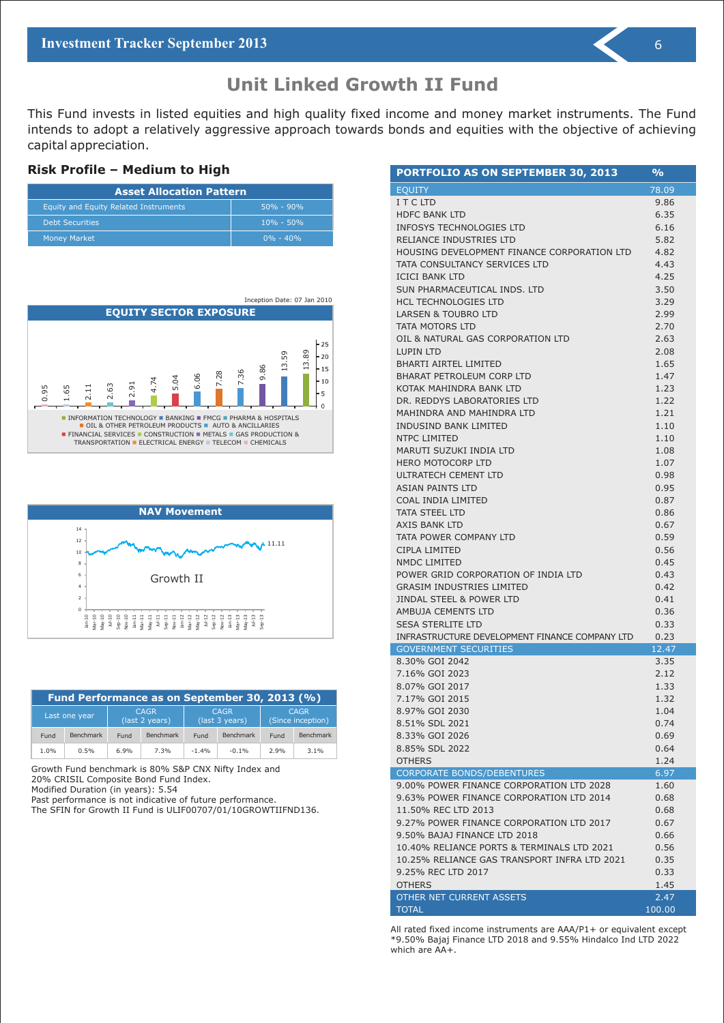This Fund invests in listed equities and high quality fixed income and money market instruments. The Fund intends to adopt a relatively aggressive approach towards bonds and equities with the objective of achieving capital appreciation.

#### **Risk Profile – Medium to High**

| <b>Asset Allocation Pattern</b>       |               |  |  |  |
|---------------------------------------|---------------|--|--|--|
| Equity and Equity Related Instruments | $50\% - 90\%$ |  |  |  |
| <b>Debt Securities</b>                | $10\% - 50\%$ |  |  |  |
| <b>Money Market</b>                   | $0\% - 40\%$  |  |  |  |





| Fund Performance as on September 30, 2013 (%) |                                                                                 |      |           |         |           |                                  |                  |
|-----------------------------------------------|---------------------------------------------------------------------------------|------|-----------|---------|-----------|----------------------------------|------------------|
|                                               | <b>CAGR</b><br><b>CAGR</b><br>Last one year<br>(last 2 years)<br>(last 3 years) |      |           |         |           | <b>CAGR</b><br>(Since inception) |                  |
| Fund                                          | <b>Benchmark</b>                                                                | Fund | Benchmark | Fund    | Benchmark | Fund                             | <b>Benchmark</b> |
| 1.0%                                          | 0.5%                                                                            | 6.9% | 7.3%      | $-1.4%$ | $-0.1%$   | 2.9%                             | $3.1\%$          |

Growth Fund benchmark is 80% S&P CNX Nifty Index and 20% CRISIL Composite Bond Fund Index.

Modified Duration (in years): 5.54

Past performance is not indicative of future performance.

The SFIN for Growth II Fund is ULIF00707/01/10GROWTIIFND136.

| <b>PORTFOLIO AS ON SEPTEMBER 30, 2013</b>                                      | $\frac{9}{6}$ |
|--------------------------------------------------------------------------------|---------------|
| <b>EQUITY</b>                                                                  | 78.09         |
| I T C LTD                                                                      | 9.86          |
| <b>HDFC BANK LTD</b>                                                           | 6.35          |
| <b>INFOSYS TECHNOLOGIES LTD</b>                                                | 6.16          |
| RELIANCE INDUSTRIES LTD                                                        | 5.82          |
| HOUSING DEVELOPMENT FINANCE CORPORATION LTD                                    | 4.82          |
| TATA CONSULTANCY SERVICES LTD                                                  | 4.43          |
| <b>ICICI BANK LTD</b>                                                          | 4.25          |
| SUN PHARMACEUTICAL INDS. LTD                                                   | 3.50          |
| <b>HCL TECHNOLOGIES LTD</b>                                                    | 3.29          |
| <b>LARSEN &amp; TOUBRO LTD</b>                                                 | 2.99          |
| TATA MOTORS LTD                                                                | 2.70          |
| OIL & NATURAL GAS CORPORATION LTD                                              | 2.63          |
| <b>LUPIN LTD</b>                                                               | 2.08          |
| <b>BHARTI AIRTEL LIMITED</b>                                                   | 1.65          |
| <b>BHARAT PETROLEUM CORP LTD</b>                                               | 1.47          |
| KOTAK MAHINDRA BANK LTD                                                        | 1.23          |
| DR. REDDYS LABORATORIES LTD                                                    | 1.22          |
| MAHINDRA AND MAHINDRA LTD                                                      | 1.21          |
| <b>INDUSIND BANK LIMITED</b>                                                   | 1.10          |
| NTPC LIMITED                                                                   | 1.10          |
| MARUTI SUZUKI INDIA LTD                                                        | 1.08          |
| <b>HERO MOTOCORP LTD</b>                                                       | 1.07          |
| ULTRATECH CEMENT LTD                                                           | 0.98          |
| <b>ASIAN PAINTS LTD</b>                                                        | 0.95          |
| COAL INDIA LIMITED                                                             | 0.87          |
| <b>TATA STEEL LTD</b>                                                          | 0.86          |
| AXIS BANK LTD                                                                  | 0.67          |
| TATA POWER COMPANY LTD                                                         | 0.59          |
| CIPLA LIMITED                                                                  | 0.56          |
| <b>NMDC LIMITED</b>                                                            | 0.45          |
| POWER GRID CORPORATION OF INDIA LTD                                            | 0.43          |
| <b>GRASIM INDUSTRIES LIMITED</b>                                               | 0.42          |
| JINDAL STEEL & POWER LTD                                                       | 0.41          |
| AMBUJA CEMENTS LTD                                                             | 0.36          |
| <b>SESA STERLITE LTD</b>                                                       | 0.33          |
| INFRASTRUCTURE DEVELOPMENT FINANCE COMPANY LTD<br><b>GOVERNMENT SECURITIES</b> | 0.23          |
| 8.30% GOI 2042                                                                 | 12.47<br>3.35 |
| 7.16% GOI 2023                                                                 | 2.12          |
| 8.07% GOI 2017                                                                 | 1.33          |
| 7.17% GOI 2015                                                                 | 1.32          |
| 8.97% GOI 2030                                                                 | 1.04          |
| 8.51% SDL 2021                                                                 | 0.74          |
| 8.33% GOI 2026                                                                 | 0.69          |
| 8.85% SDL 2022                                                                 | 0.64          |
| <b>OTHERS</b>                                                                  | 1.24          |
| <b>CORPORATE BONDS/DEBENTURES</b>                                              | 6.97          |
| 9.00% POWER FINANCE CORPORATION LTD 2028                                       | 1.60          |
| 9.63% POWER FINANCE CORPORATION LTD 2014                                       | 0.68          |
| 11.50% REC LTD 2013                                                            | 0.68          |
| 9.27% POWER FINANCE CORPORATION LTD 2017                                       | 0.67          |
| 9.50% BAJAJ FINANCE LTD 2018                                                   | 0.66          |
| 10.40% RELIANCE PORTS & TERMINALS LTD 2021                                     | 0.56          |
| 10.25% RELIANCE GAS TRANSPORT INFRA LTD 2021                                   | 0.35          |
| 9.25% REC LTD 2017                                                             | 0.33          |
| <b>OTHERS</b>                                                                  | 1.45          |
| OTHER NET CURRENT ASSETS                                                       | 2.47          |
| <b>TOTAL</b>                                                                   | 100.00        |

All rated fixed income instruments are AAA/P1+ or equivalent except \*9.50% Bajaj Finance LTD 2018 and 9.55% Hindalco Ind LTD 2022 which are AA+.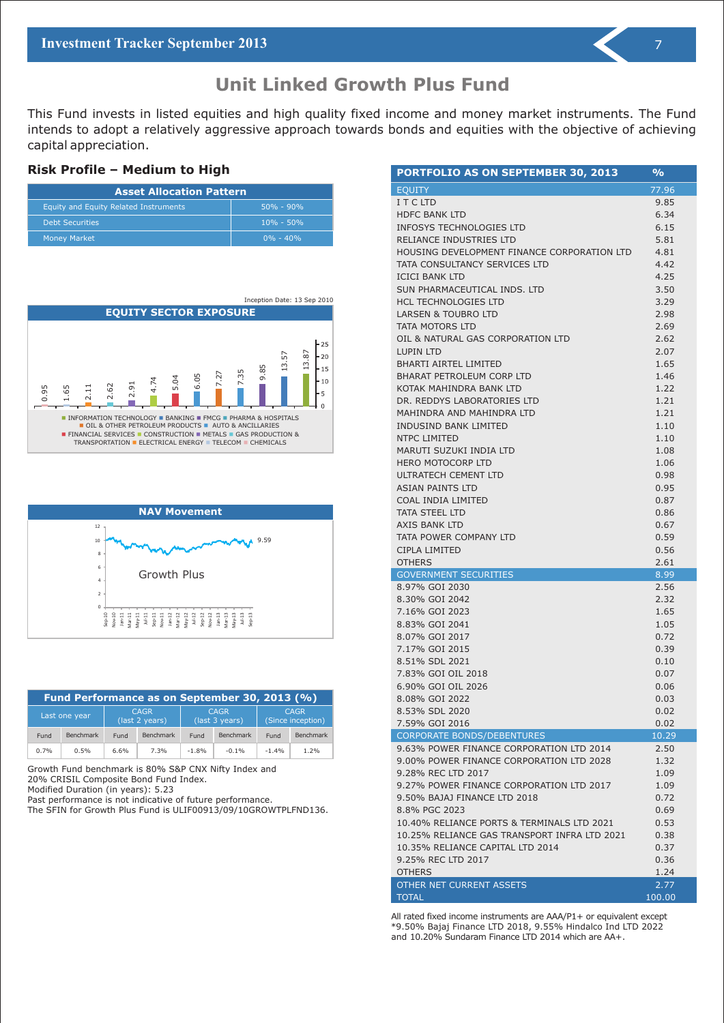### **Unit Linked Growth Plus Fund**

This Fund invests in listed equities and high quality fixed income and money market instruments. The Fund intends to adopt a relatively aggressive approach towards bonds and equities with the objective of achieving capital appreciation.

#### **Risk Profile – Medium to High**

| <b>Asset Allocation Pattern</b>              |               |  |  |  |
|----------------------------------------------|---------------|--|--|--|
| <b>Equity and Equity Related Instruments</b> | $50\% - 90\%$ |  |  |  |
| <b>Debt Securities</b>                       | $10\% - 50\%$ |  |  |  |
| <b>Money Market</b>                          | $0\% - 40\%$  |  |  |  |





| Fund Performance as on September 30, 2013 (%) |                  |      |                               |         |                               |         |                                  |
|-----------------------------------------------|------------------|------|-------------------------------|---------|-------------------------------|---------|----------------------------------|
|                                               | Last one year    |      | <b>CAGR</b><br>(last 2 years) |         | <b>CAGR</b><br>(last 3 years) |         | <b>CAGR</b><br>(Since inception) |
| Fund                                          | <b>Benchmark</b> | Fund | <b>Benchmark</b>              | Fund    | <b>Benchmark</b>              | Fund    | Benchmark                        |
| 0.7%                                          | 0.5%             | 6.6% | 7.3%                          | $-1.8%$ | $-0.1\%$                      | $-1.4%$ | 1.2%                             |

Growth Fund benchmark is 80% S&P CNX Nifty Index and 20% CRISIL Composite Bond Fund Index.

Modified Duration (in years): 5.23

Past performance is not indicative of future performance.

The SFIN for Growth Plus Fund is ULIF00913/09/10GROWTPLFND136.

| PORTFOLIO AS ON SEPTEMBER 30, 2013           | $\frac{9}{6}$ |
|----------------------------------------------|---------------|
| <b>EQUITY</b>                                | 77.96         |
| ITCLTD                                       | 9.85          |
| <b>HDFC BANK LTD</b>                         | 6.34          |
| <b>INFOSYS TECHNOLOGIES LTD</b>              | 6.15          |
| RELIANCE INDUSTRIES LTD                      | 5.81          |
| HOUSING DEVELOPMENT FINANCE CORPORATION LTD  | 4.81          |
| TATA CONSULTANCY SERVICES LTD                | 4.42          |
| <b>ICICI BANK LTD</b>                        | 4.25          |
| SUN PHARMACEUTICAL INDS. LTD                 | 3.50          |
| <b>HCL TECHNOLOGIES LTD</b>                  | 3.29          |
| <b>LARSEN &amp; TOUBRO LTD</b>               | 2.98          |
| TATA MOTORS LTD                              | 2.69          |
| OIL & NATURAL GAS CORPORATION LTD            | 2.62          |
| LUPIN LTD                                    | 2.07          |
| <b>BHARTI AIRTEL LIMITED</b>                 | 1.65          |
| BHARAT PETROLEUM CORP LTD                    | 1.46          |
| KOTAK MAHINDRA BANK LTD                      | 1.22          |
| DR. REDDYS LABORATORIES LTD                  | 1.21          |
| MAHINDRA AND MAHINDRA LTD                    | 1.21          |
| <b>INDUSIND BANK LIMITED</b>                 | 1.10          |
| NTPC LIMITED                                 | 1.10          |
| MARUTI SUZUKI INDIA LTD                      | 1.08          |
| <b>HERO MOTOCORP LTD</b>                     | 1.06          |
| ULTRATECH CEMENT LTD                         | 0.98          |
| <b>ASIAN PAINTS LTD</b>                      | 0.95          |
| COAL INDIA LIMITED                           | 0.87          |
| <b>TATA STEEL LTD</b>                        | 0.86          |
| AXIS BANK LTD                                | 0.67          |
| TATA POWER COMPANY LTD                       | 0.59          |
| CIPLA LIMITED                                | 0.56          |
| <b>OTHERS</b>                                | 2.61          |
| <b>GOVERNMENT SECURITIES</b>                 | 8.99          |
| 8.97% GOI 2030                               | 2.56          |
| 8.30% GOI 2042                               | 2.32          |
| 7.16% GOI 2023                               | 1.65          |
| 8.83% GOI 2041                               | 1.05          |
| 8.07% GOI 2017                               | 0.72          |
| 7.17% GOI 2015                               | 0.39          |
| 8.51% SDL 2021                               | 0.10          |
| 7.83% GOI OIL 2018                           | 0.07          |
| 6.90% GOI OIL 2026<br>8.08% GOI 2022         | 0.06          |
| 8.53% SDL 2020                               | 0.03<br>0.02  |
| 7.59% GOI 2016                               | 0.02          |
| <b>CORPORATE BONDS/DEBENTURES</b>            | 10.29         |
| 9.63% POWER FINANCE CORPORATION LTD 2014     | 2.50          |
| 9.00% POWER FINANCE CORPORATION LTD 2028     | 1.32          |
| 9.28% REC LTD 2017                           | 1.09          |
| 9.27% POWER FINANCE CORPORATION LTD 2017     | 1.09          |
| 9.50% BAJAJ FINANCE LTD 2018                 | 0.72          |
| 8.8% PGC 2023                                | 0.69          |
| 10.40% RELIANCE PORTS & TERMINALS LTD 2021   | 0.53          |
| 10.25% RELIANCE GAS TRANSPORT INFRA LTD 2021 | 0.38          |
| 10.35% RELIANCE CAPITAL LTD 2014             | 0.37          |
| 9.25% REC LTD 2017                           | 0.36          |
| <b>OTHERS</b>                                | 1.24          |
| OTHER NET CURRENT ASSETS                     | 2.77          |
| <b>TOTAL</b>                                 | 100.00        |

All rated fixed income instruments are AAA/P1+ or equivalent except \*9.50% Bajaj Finance LTD 2018, 9.55% Hindalco Ind LTD 2022 and 10.20% Sundaram Finance LTD 2014 which are AA+.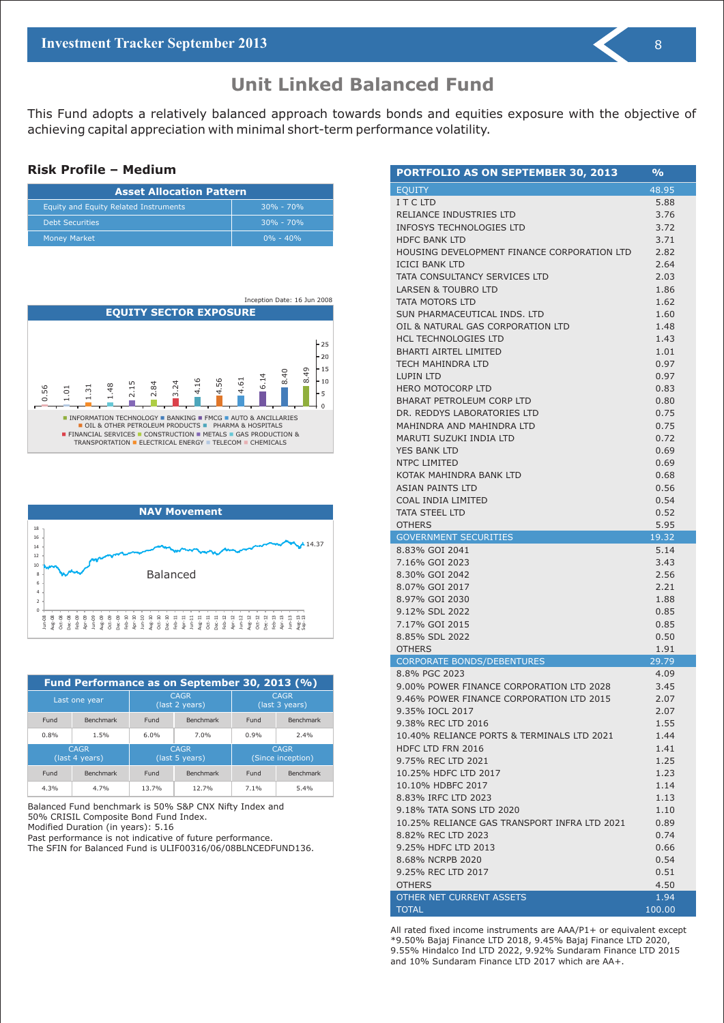This Fund adopts a relatively balanced approach towards bonds and equities exposure with the objective of achieving capital appreciation with minimal short-term performance volatility.

#### **Risk Profile – Medium**

| <b>Asset Allocation Pattern</b>       |               |  |  |  |
|---------------------------------------|---------------|--|--|--|
| Equity and Equity Related Instruments | $30\% - 70\%$ |  |  |  |
| <b>Debt Securities</b>                | $30\% - 70\%$ |  |  |  |
| <b>Money Market</b>                   | $0\% - 40\%$  |  |  |  |





| Fund Performance as on September 30, 2013 (%) |                  |       |                               |      |                                  |  |
|-----------------------------------------------|------------------|-------|-------------------------------|------|----------------------------------|--|
|                                               | Last one year    |       | <b>CAGR</b><br>(last 2 years) |      | <b>CAGR</b><br>(last 3 years)    |  |
| Fund                                          | <b>Benchmark</b> | Fund  | Benchmark                     | Fund | <b>Benchmark</b>                 |  |
| 0.8%                                          | 1.5%             | 6.0%  | 7.0%                          | 0.9% | 2.4%                             |  |
| <b>CAGR</b><br>(last 4 years)                 |                  |       | <b>CAGR</b><br>(last 5 years) |      | <b>CAGR</b><br>(Since inception) |  |
| Fund                                          | <b>Benchmark</b> | Fund  | <b>Benchmark</b>              | Fund | <b>Benchmark</b>                 |  |
| 4.3%                                          | 4.7%             | 13.7% | 12.7%                         | 7.1% | 5.4%                             |  |

Balanced Fund benchmark is 50% S&P CNX Nifty Index and 50% CRISIL Composite Bond Fund Index.

Modified Duration (in years): 5.16

Past performance is not indicative of future performance.

The SFIN for Balanced Fund is ULIF00316/06/08BLNCEDFUND136.

| PORTFOLIO AS ON SEPTEMBER 30, 2013             | $\frac{0}{0}$ |
|------------------------------------------------|---------------|
| <b>EQUITY</b>                                  | 48.95         |
| I T C LTD                                      | 5.88          |
| RELIANCE INDUSTRIES LTD                        | 3.76          |
| INFOSYS TECHNOLOGIES LTD                       | 3.72          |
| <b>HDFC BANK LTD</b>                           | 3.71          |
| HOUSING DEVELOPMENT FINANCE CORPORATION LTD    | 2.82          |
| <b>ICICI BANK LTD</b>                          | 2.64          |
| TATA CONSULTANCY SERVICES LTD                  | 2.03          |
| <b>LARSEN &amp; TOUBRO LTD</b>                 | 1.86          |
| TATA MOTORS LTD                                | 1.62          |
| SUN PHARMACEUTICAL INDS. LTD                   | 1.60          |
| OIL & NATURAL GAS CORPORATION LTD              | 1.48          |
| <b>HCL TECHNOLOGIES LTD</b>                    | 1.43          |
| <b>BHARTI AIRTEL LIMITED</b>                   | 1.01          |
| TECH MAHINDRA LTD                              | 0.97          |
| <b>LUPIN LTD</b>                               | 0.97          |
| <b>HERO MOTOCORP LTD</b>                       | 0.83          |
| <b>BHARAT PETROLEUM CORP LTD</b>               | 0.80          |
| DR. REDDYS LABORATORIES LTD                    | 0.75          |
| MAHINDRA AND MAHINDRA LTD                      | 0.75          |
| MARUTI SUZUKI INDIA LTD<br><b>YES BANK LTD</b> | 0.72          |
| <b>NTPC LIMITED</b>                            | 0.69          |
| KOTAK MAHINDRA BANK LTD                        | 0.69<br>0.68  |
| <b>ASIAN PAINTS LTD</b>                        | 0.56          |
| COAL INDIA LIMITED                             | 0.54          |
| <b>TATA STEEL LTD</b>                          | 0.52          |
| <b>OTHERS</b>                                  | 5.95          |
| <b>GOVERNMENT SECURITIES</b>                   | 19.32         |
| 8.83% GOI 2041                                 | 5.14          |
| 7.16% GOI 2023                                 | 3.43          |
| 8.30% GOI 2042                                 | 2.56          |
| 8.07% GOI 2017                                 | 2.21          |
| 8.97% GOI 2030                                 | 1.88          |
| 9.12% SDL 2022                                 | 0.85          |
| 7.17% GOI 2015                                 | 0.85          |
| 8.85% SDL 2022                                 | 0.50          |
| <b>OTHERS</b>                                  | 1.91          |
| CORPORATE BONDS/DEBENTURES                     | 29.79         |
| 8.8% PGC 2023                                  | 4.09          |
| 9.00% POWER FINANCE CORPORATION LTD 2028       | 3.45          |
|                                                | 2.07          |
| 9.46% POWER FINANCE CORPORATION LTD 2015       |               |
| 9.35% IOCL 2017                                | 2.07          |
| 9.38% REC LTD 2016                             | 1.55          |
| 10.40% RELIANCE PORTS & TERMINALS LTD 2021     | 1.44          |
| HDFC LTD FRN 2016                              | 1.41          |
| 9.75% REC LTD 2021                             | 1.25          |
| 10.25% HDFC LTD 2017                           | 1.23          |
| 10.10% HDBFC 2017                              | 1.14          |
| 8.83% IRFC LTD 2023                            | 1.13          |
| 9.18% TATA SONS LTD 2020                       | 1.10          |
| 10.25% RELIANCE GAS TRANSPORT INFRA LTD 2021   | 0.89          |
| 8.82% REC LTD 2023                             | 0.74          |
| 9.25% HDFC LTD 2013                            | 0.66          |
| 8.68% NCRPB 2020                               | 0.54          |
| 9.25% REC LTD 2017                             | 0.51          |
| <b>OTHERS</b><br>OTHER NET CURRENT ASSETS      | 4.50<br>1.94  |

All rated fixed income instruments are AAA/P1+ or equivalent except \*9.50% Bajaj Finance LTD 2018, 9.45% Bajaj Finance LTD 2020, 9.55% Hindalco Ind LTD 2022, 9.92% Sundaram Finance LTD 2015 and 10% Sundaram Finance LTD 2017 which are AA+.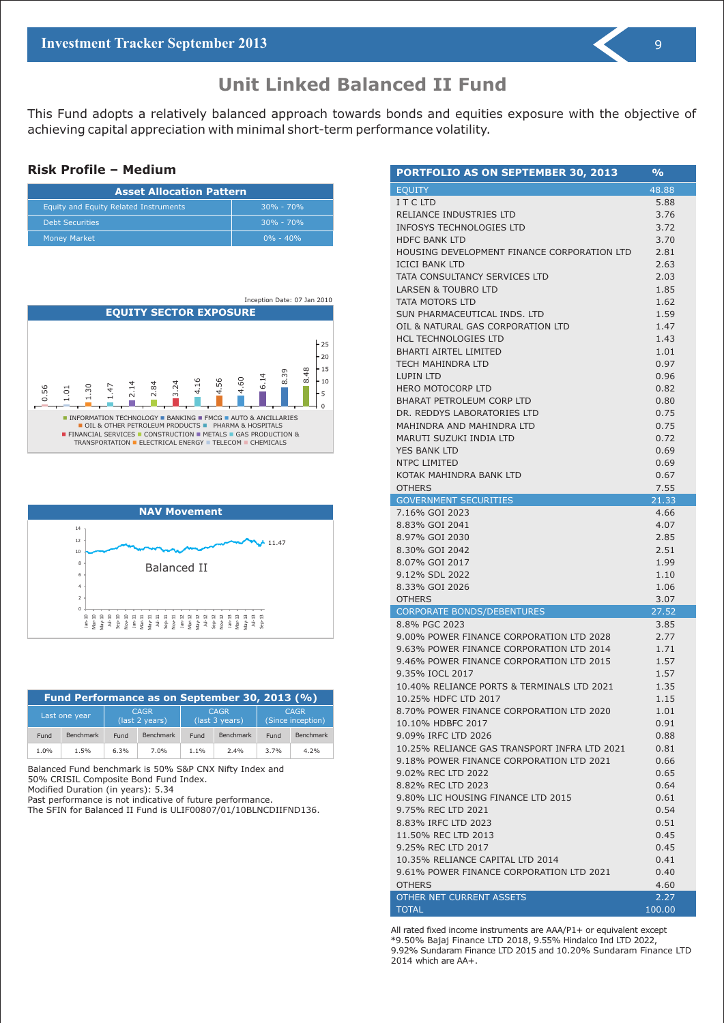This Fund adopts a relatively balanced approach towards bonds and equities exposure with the objective of achieving capital appreciation with minimal short-term performance volatility.

#### **Risk Profile – Medium**

| <b>Asset Allocation Pattern</b>       |               |  |  |  |
|---------------------------------------|---------------|--|--|--|
| Equity and Equity Related Instruments | $30\% - 70\%$ |  |  |  |
| <b>Debt Securities</b>                | $30\% - 70\%$ |  |  |  |
| <b>Money Market</b>                   | $0\% - 40\%$  |  |  |  |





| Fund Performance as on September 30, 2013 (%) |                  |                               |                  |                               |           |      |                                  |
|-----------------------------------------------|------------------|-------------------------------|------------------|-------------------------------|-----------|------|----------------------------------|
|                                               | Last one year    | <b>CAGR</b><br>(last 2 years) |                  | <b>CAGR</b><br>(last 3 years) |           |      | <b>CAGR</b><br>(Since inception) |
| Fund                                          | <b>Benchmark</b> | Fund                          | <b>Benchmark</b> | Fund                          | Benchmark | Fund | <b>Benchmark</b>                 |
| 1.0%                                          | 1.5%             | 6.3%                          | 7.0%             | $1.1\%$                       | 2.4%      | 3.7% | 4.2%                             |

Balanced Fund benchmark is 50% S&P CNX Nifty Index and 50% CRISIL Composite Bond Fund Index.

Modified Duration (in years): 5.34

Past performance is not indicative of future performance.

The SFIN for Balanced II Fund is ULIF00807/01/10BLNCDIIFND136.

| PORTFOLIO AS ON SEPTEMBER 30, 2013           | %            |
|----------------------------------------------|--------------|
| <b>EQUITY</b>                                | 48.88        |
| I T C LTD                                    | 5.88         |
| RELIANCE INDUSTRIES LTD                      | 3.76         |
| <b>INFOSYS TECHNOLOGIES LTD</b>              | 3.72         |
| <b>HDFC BANK LTD</b>                         | 3.70         |
| HOUSING DEVELOPMENT FINANCE CORPORATION LTD  | 2.81         |
| <b>ICICI BANK LTD</b>                        | 2.63         |
| TATA CONSULTANCY SERVICES LTD                | 2.03         |
| LARSEN & TOUBRO LTD                          | 1.85         |
| TATA MOTORS LTD                              | 1.62         |
| SUN PHARMACEUTICAL INDS. LTD                 | 1.59         |
| OIL & NATURAL GAS CORPORATION LTD            | 1.47         |
| <b>HCL TECHNOLOGIES LTD</b>                  | 1.43         |
| <b>BHARTI AIRTEL LIMITED</b>                 | 1.01         |
| TECH MAHINDRA LTD                            | 0.97         |
| <b>LUPIN LTD</b>                             | 0.96         |
| <b>HERO MOTOCORP LTD</b>                     | 0.82         |
| BHARAT PETROLEUM CORP LTD                    | 0.80         |
| DR. REDDYS LABORATORIES LTD                  | 0.75         |
| MAHINDRA AND MAHINDRA LTD                    | 0.75         |
| MARUTI SUZUKI INDIA LTD                      | 0.72         |
| <b>YES BANK LTD</b>                          | 0.69         |
| NTPC LIMITED                                 | 0.69         |
| KOTAK MAHINDRA BANK LTD                      | 0.67         |
| <b>OTHERS</b>                                | 7.55         |
| <b>GOVERNMENT SECURITIES</b>                 | 21.33        |
| 7.16% GOI 2023<br>8.83% GOI 2041             | 4.66<br>4.07 |
| 8.97% GOI 2030                               | 2.85         |
| 8.30% GOI 2042                               | 2.51         |
| 8.07% GOI 2017                               | 1.99         |
| 9.12% SDL 2022                               | 1.10         |
| 8.33% GOI 2026                               | 1.06         |
| <b>OTHERS</b>                                | 3.07         |
| CORPORATE BONDS/DEBENTURES                   | 27.52        |
| 8.8% PGC 2023                                | 3.85         |
| 9.00% POWER FINANCE CORPORATION LTD 2028     | 2.77         |
| 9.63% POWER FINANCE CORPORATION LTD 2014     | 1.71         |
| 9.46% POWER FINANCE CORPORATION LTD 2015     | 1.57         |
| 9.35% IOCL 2017                              | 1.57         |
| 10.40% RELIANCE PORTS & TERMINALS LTD 2021   | 1.35         |
| 10.25% HDFC LTD 2017                         | 1.15         |
| 8.70% POWER FINANCE CORPORATION LTD 2020     | 1.01         |
| 10.10% HDBFC 2017                            | 0.91         |
| 9.09% IRFC LTD 2026                          | 0.88         |
| 10.25% RELIANCE GAS TRANSPORT INFRA LTD 2021 | 0.81         |
| 9.18% POWER FINANCE CORPORATION LTD 2021     | 0.66         |
| 9.02% REC LTD 2022                           | 0.65         |
| 8.82% REC LTD 2023                           | 0.64         |
| 9.80% LIC HOUSING FINANCE LTD 2015           | 0.61         |
| 9.75% REC LTD 2021                           | 0.54         |
| 8.83% IRFC LTD 2023                          | 0.51         |
| 11.50% REC LTD 2013                          | 0.45         |
| 9.25% REC LTD 2017                           | 0.45         |
| 10.35% RELIANCE CAPITAL LTD 2014             | 0.41         |
| 9.61% POWER FINANCE CORPORATION LTD 2021     | 0.40         |
| <b>OTHERS</b>                                | 4.60         |
| OTHER NET CURRENT ASSETS                     | 2.27         |
| <b>TOTAL</b>                                 | 100.00       |

All rated fixed income instruments are AAA/P1+ or equivalent except \*9.50% Bajaj Finance LTD 2018, 9.55% Hindalco Ind LTD 2022, 9.92% Sundaram Finance LTD 2015 and 10.20% Sundaram Finance LTD 2014 which are AA+.

9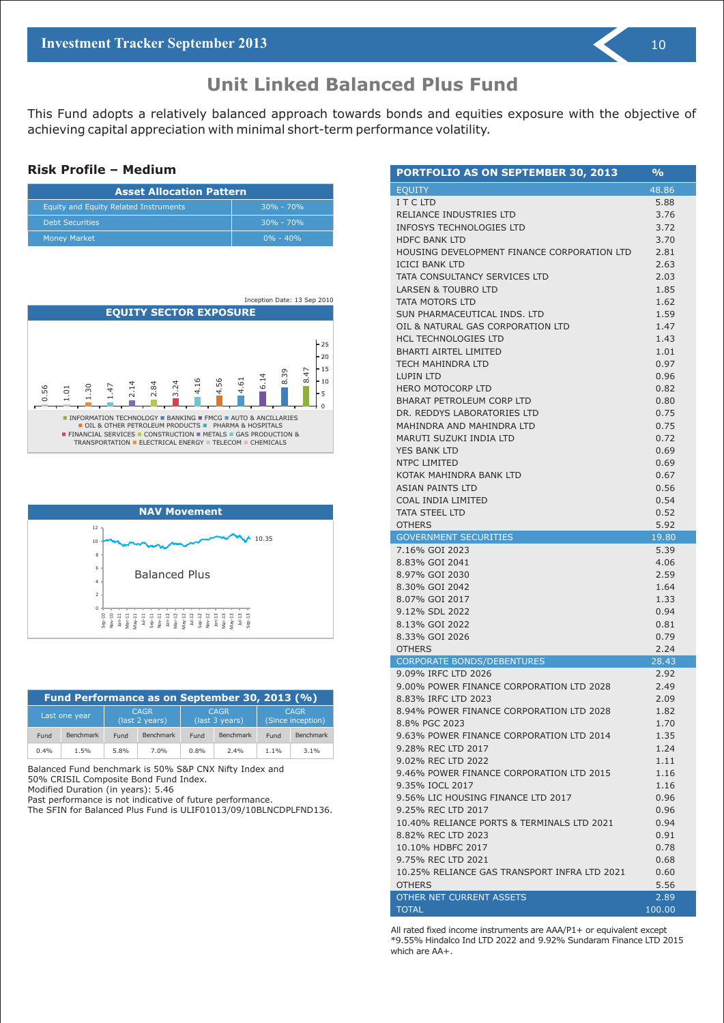This Fund adopts a relatively balanced approach towards bonds and equities exposure with the objective of achieving capital appreciation with minimal short-term performance volatility.

#### **Risk Profile – Medium**

| <b>Asset Allocation Pattern</b>       |               |  |  |  |
|---------------------------------------|---------------|--|--|--|
| Equity and Equity Related Instruments | $30\% - 70\%$ |  |  |  |
| <b>Debt Securities</b>                | $30\% - 70\%$ |  |  |  |
| <b>Money Market</b>                   | $0\% - 40\%$  |  |  |  |





| Fund Performance as on September 30, 2013 (%) |                  |                                                                |                  |      |           |                                  |                  |
|-----------------------------------------------|------------------|----------------------------------------------------------------|------------------|------|-----------|----------------------------------|------------------|
|                                               | Last one year    | <b>CAGR</b><br><b>CAGR</b><br>(last 2 years)<br>(last 3 years) |                  |      |           | <b>CAGR</b><br>(Since inception) |                  |
| Fund                                          | <b>Benchmark</b> | Fund                                                           | <b>Benchmark</b> | Fund | Benchmark | Fund                             | <b>Benchmark</b> |
| 0.4%                                          | 1.5%             | 5.8%                                                           | 7.0%             | 0.8% | 2.4%      | $1.1\%$                          | $3.1\%$          |

Balanced Fund benchmark is 50% S&P CNX Nifty Index and 50% CRISIL Composite Bond Fund Index.

Modified Duration (in years): 5.46

Past performance is not indicative of future performance.

The SFIN for Balanced Plus Fund is ULIF01013/09/10BLNCDPLFND136.

| PORTFOLIO AS ON SEPTEMBER 30, 2013                       | $\frac{9}{6}$ |
|----------------------------------------------------------|---------------|
| <b>EQUITY</b>                                            | 48.86         |
| I T C LTD                                                | 5.88          |
| RELIANCE INDUSTRIES LTD                                  | 3.76          |
| INFOSYS TECHNOLOGIES LTD                                 | 3.72          |
| <b>HDFC BANK LTD</b>                                     | 3.70          |
| HOUSING DEVELOPMENT FINANCE CORPORATION LTD              | 2.81          |
| ICICI BANK LTD                                           | 2.63          |
| TATA CONSULTANCY SERVICES LTD                            | 2.03          |
| <b>LARSEN &amp; TOUBRO LTD</b>                           | 1.85          |
| TATA MOTORS LTD                                          | 1.62          |
| SUN PHARMACEUTICAL INDS. LTD                             | 1.59          |
| OIL & NATURAL GAS CORPORATION LTD                        | 1.47          |
| <b>HCL TECHNOLOGIES LTD</b>                              | 1.43          |
| <b>BHARTI AIRTEL LIMITED</b>                             | 1.01          |
| TECH MAHINDRA LTD                                        | 0.97          |
| <b>LUPIN LTD</b>                                         | 0.96          |
| <b>HERO MOTOCORP LTD</b>                                 | 0.82          |
| <b>BHARAT PETROLEUM CORP LTD</b>                         | 0.80          |
| DR. REDDYS LABORATORIES LTD                              | 0.75          |
| MAHINDRA AND MAHINDRA LTD                                | 0.75          |
| MARUTI SUZUKI INDIA LTD                                  | 0.72          |
| <b>YES BANK LTD</b>                                      | 0.69          |
| <b>NTPC LIMITED</b>                                      | 0.69          |
| KOTAK MAHINDRA BANK LTD                                  | 0.67          |
| <b>ASIAN PAINTS LTD</b>                                  | 0.56          |
| <b>COAL INDIA LIMITED</b>                                | 0.54          |
| <b>TATA STEEL LTD</b>                                    | 0.52          |
| <b>OTHERS</b>                                            | 5.92          |
| <b>GOVERNMENT SECURITIES</b>                             | 19.80         |
| 7.16% GOI 2023                                           | 5.39          |
| 8.83% GOI 2041                                           | 4.06          |
| 8.97% GOI 2030                                           | 2.59          |
| 8.30% GOI 2042                                           | 1.64          |
| 8.07% GOI 2017                                           | 1.33          |
| 9.12% SDL 2022                                           | 0.94          |
| 8.13% GOI 2022                                           | 0.81          |
| 8.33% GOI 2026                                           | 0.79          |
| <b>OTHERS</b>                                            | 2.24          |
| <b>CORPORATE BONDS/DEBENTURES</b><br>9.09% IRFC LTD 2026 | 28.43         |
| 9.00% POWER FINANCE CORPORATION LTD 2028                 | 2.92<br>2.49  |
| 8.83% IRFC LTD 2023                                      | 2.09          |
| 8.94% POWER FINANCE CORPORATION LTD 2028                 |               |
| 8.8% PGC 2023                                            | 1.82          |
| 9.63% POWER FINANCE CORPORATION LTD 2014                 | 1.70<br>1.35  |
| 9.28% REC LTD 2017                                       | 1.24          |
| 9.02% REC LTD 2022                                       | 1.11          |
| 9.46% POWER FINANCE CORPORATION LTD 2015                 | 1.16          |
| 9.35% IOCL 2017                                          | 1.16          |
| 9.56% LIC HOUSING FINANCE LTD 2017                       | 0.96          |
| 9.25% REC LTD 2017                                       |               |
| 10.40% RELIANCE PORTS & TERMINALS LTD 2021               | 0.96<br>0.94  |
|                                                          |               |
| 8.82% REC LTD 2023                                       | 0.91<br>0.78  |
| 10.10% HDBFC 2017<br>9.75% REC LTD 2021                  |               |
| 10.25% RELIANCE GAS TRANSPORT INFRA LTD 2021             | 0.68          |
| <b>OTHERS</b>                                            | 0.60<br>5.56  |
| OTHER NET CURRENT ASSETS                                 | 2.89          |
| <b>TOTAL</b>                                             | 100.00        |

All rated fixed income instruments are AAA/P1+ or equivalent except \*9.55% Hindalco Ind LTD 2022 and 9.92% Sundaram Finance LTD 2015 which are AA+.

10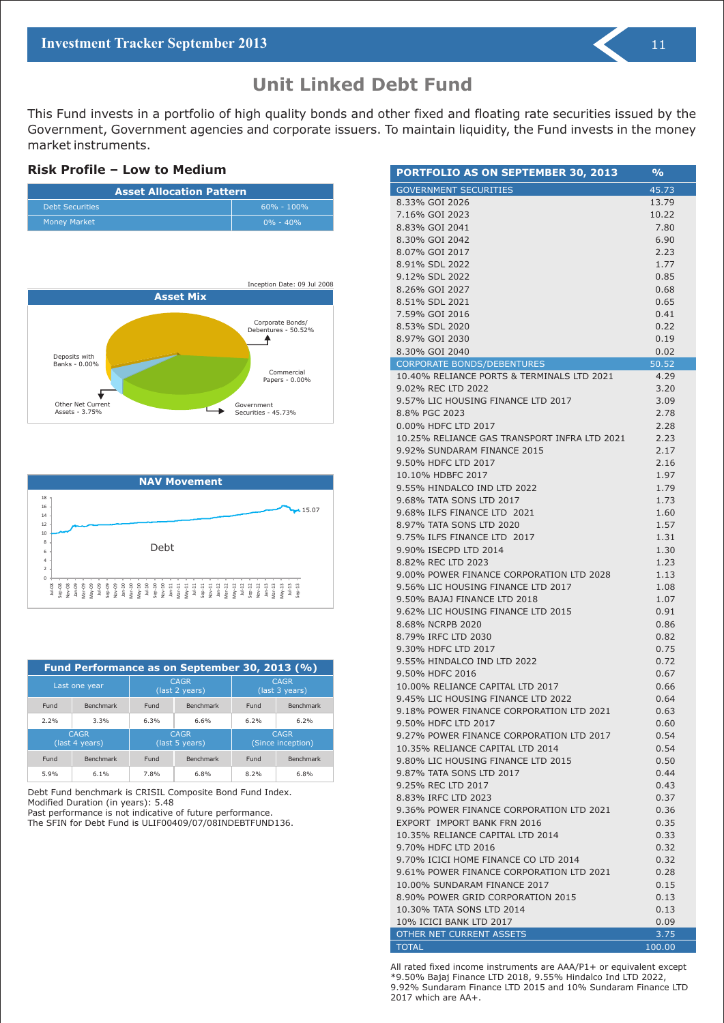This Fund invests in a portfolio of high quality bonds and other fixed and floating rate securities issued by the Government, Government agencies and corporate issuers. To maintain liquidity, the Fund invests in the money market instruments.

#### **Risk Profile – Low to Medium**







| Fund Performance as on September 30, 2013 (%) |                  |      |                               |                               |                                  |  |
|-----------------------------------------------|------------------|------|-------------------------------|-------------------------------|----------------------------------|--|
| Last one year                                 |                  |      | <b>CAGR</b><br>(last 2 years) | <b>CAGR</b><br>(last 3 years) |                                  |  |
| Fund                                          | <b>Benchmark</b> | Fund | Benchmark                     | Fund                          | <b>Benchmark</b>                 |  |
| 2.2%                                          | 3.3%             | 6.3% | 6.6%                          | 6.2%                          | 6.2%                             |  |
| <b>CAGR</b><br>(last 4 years)                 |                  |      | <b>CAGR</b><br>(last 5 years) |                               | <b>CAGR</b><br>(Since inception) |  |
| Fund                                          | <b>Benchmark</b> | Fund | <b>Benchmark</b>              | Fund                          | <b>Benchmark</b>                 |  |
| 5.9%                                          | 6.1%             | 7.8% | 6.8%                          | 8.2%                          | 6.8%                             |  |

Debt Fund benchmark is CRISIL Composite Bond Fund Index. Modified Duration (in years): 5.48

Past performance is not indicative of future performance.

The SFIN for Debt Fund is ULIF00409/07/08INDEBTFUND136.

| PORTFOLIO AS ON SEPTEMBER 30, 2013                             | $\frac{1}{2}$ |
|----------------------------------------------------------------|---------------|
| GOVERNMENT SECURITIES                                          | 45.73         |
| 8.33% GOI 2026                                                 | 13.79         |
| 7.16% GOI 2023                                                 | 10.22         |
| 8.83% GOI 2041                                                 | 7.80          |
| 8.30% GOI 2042                                                 | 6.90          |
| 8.07% GOI 2017                                                 | 2.23          |
| 8.91% SDL 2022                                                 | 1.77          |
| 9.12% SDL 2022                                                 | 0.85          |
| 8.26% GOI 2027<br>8.51% SDL 2021                               | 0.68<br>0.65  |
| 7.59% GOI 2016                                                 | 0.41          |
| 8.53% SDL 2020                                                 | 0.22          |
| 8.97% GOI 2030                                                 | 0.19          |
| 8.30% GOI 2040                                                 | 0.02          |
| CORPORATE BONDS/DEBENTURES                                     | 50.52         |
| 10.40% RELIANCE PORTS & TERMINALS LTD 2021                     | 4.29          |
| 9.02% REC LTD 2022                                             | 3.20          |
| 9.57% LIC HOUSING FINANCE LTD 2017                             | 3.09          |
| 8.8% PGC 2023                                                  | 2.78          |
| 0.00% HDFC LTD 2017                                            | 2.28          |
| 10.25% RELIANCE GAS TRANSPORT INFRA LTD 2021                   | 2.23          |
| 9.92% SUNDARAM FINANCE 2015                                    | 2.17          |
| 9.50% HDFC LTD 2017                                            | 2.16          |
| 10.10% HDBFC 2017                                              | 1.97          |
| 9.55% HINDALCO IND LTD 2022                                    | 1.79          |
| 9.68% TATA SONS LTD 2017                                       | 1.73          |
| 9.68% ILFS FINANCE LTD 2021                                    | 1.60          |
| 8.97% TATA SONS LTD 2020                                       | 1.57          |
| 9.75% ILFS FINANCE LTD 2017<br>9.90% ISECPD LTD 2014           | 1.31<br>1.30  |
| 8.82% REC LTD 2023                                             | 1.23          |
| 9.00% POWER FINANCE CORPORATION LTD 2028                       | 1.13          |
| 9.56% LIC HOUSING FINANCE LTD 2017                             | 1.08          |
| 9.50% BAJAJ FINANCE LTD 2018                                   | 1.07          |
| 9.62% LIC HOUSING FINANCE LTD 2015                             | 0.91          |
| 8.68% NCRPB 2020                                               | 0.86          |
| 8.79% IRFC LTD 2030                                            | 0.82          |
| 9.30% HDFC LTD 2017                                            | 0.75          |
| 9.55% HINDALCO IND LTD 2022                                    | 0.72          |
| 9.50% HDFC 2016                                                | 0.67          |
| 10.00% RELIANCE CAPITAL LTD 2017                               | 0.66          |
| 9.45% LIC HOUSING FINANCE LTD 2022                             | 0.64          |
| 9.18% POWER FINANCE CORPORATION LTD 2021                       | 0.63          |
| 9.50% HDFC LTD 2017                                            | 0.60          |
| 9.27% POWER FINANCE CORPORATION LTD 2017                       | 0.54          |
| 10.35% RELIANCE CAPITAL LTD 2014                               | 0.54          |
| 9.80% LIC HOUSING FINANCE LTD 2015                             | 0.50          |
| 9.87% TATA SONS LTD 2017                                       | 0.44          |
| 9.25% REC LTD 2017                                             | 0.43          |
| 8.83% IRFC LTD 2023                                            | 0.37          |
| 9.36% POWER FINANCE CORPORATION LTD 2021                       | 0.36          |
| EXPORT IMPORT BANK FRN 2016                                    | 0.35          |
| 10.35% RELIANCE CAPITAL LTD 2014                               | 0.33          |
| 9.70% HDFC LTD 2016                                            | 0.32          |
| 9.70% ICICI HOME FINANCE CO LTD 2014                           | 0.32          |
| 9.61% POWER FINANCE CORPORATION LTD 2021                       | 0.28          |
| 10.00% SUNDARAM FINANCE 2017                                   | 0.15          |
| 8.90% POWER GRID CORPORATION 2015<br>10.30% TATA SONS LTD 2014 | 0.13<br>0.13  |
| 10% ICICI BANK LTD 2017                                        | 0.09          |
| OTHER NET CURRENT ASSETS                                       | 3.75          |
| <b>TOTAL</b>                                                   | 100.00        |

All rated fixed income instruments are AAA/P1+ or equivalent except \*9.50% Bajaj Finance LTD 2018, 9.55% Hindalco Ind LTD 2022, 9.92% Sundaram Finance LTD 2015 and 10% Sundaram Finance LTD 2017 which are AA+.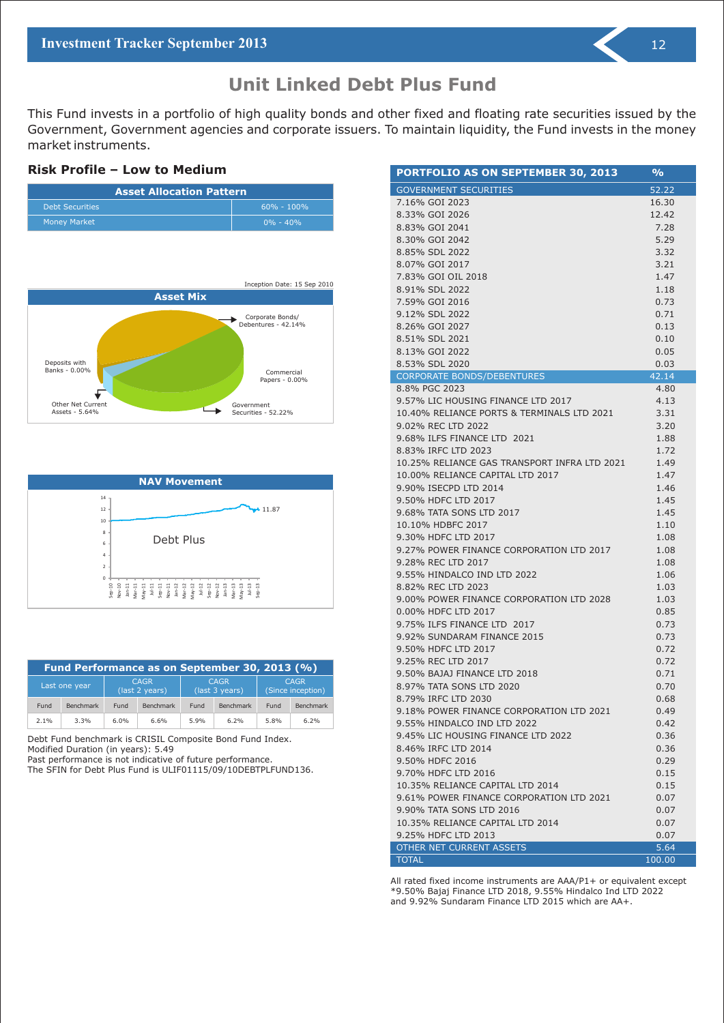## **Unit Linked Debt Plus Fund**

This Fund invests in a portfolio of high quality bonds and other fixed and floating rate securities issued by the Government, Government agencies and corporate issuers. To maintain liquidity, the Fund invests in the money market instruments.

#### **Risk Profile – Low to Medium**







| Fund Performance as on September 30, 2013 (%) |                  |      |                                                                                                    |      |                  |      |                  |
|-----------------------------------------------|------------------|------|----------------------------------------------------------------------------------------------------|------|------------------|------|------------------|
|                                               | Last one year    |      | <b>CAGR</b><br><b>CAGR</b><br><b>CAGR</b><br>(Since inception)<br>(last 3 years)<br>(last 2 years) |      |                  |      |                  |
| Fund                                          | <b>Benchmark</b> | Fund | <b>Benchmark</b>                                                                                   | Fund | <b>Benchmark</b> | Fund | <b>Benchmark</b> |
| 2.1%<br>6.0%<br>6.6%<br>3.3%<br>5.9%<br>6.2%  |                  |      |                                                                                                    |      | 5.8%             | 6.2% |                  |

Debt Fund benchmark is CRISIL Composite Bond Fund Index. Modified Duration (in years): 5.49

Past performance is not indicative of future performance.

The SFIN for Debt Plus Fund is ULIF01115/09/10DEBTPLFUND136.

| <b>PORTFOLIO AS ON SEPTEMBER 30, 2013</b>    | $\frac{6}{2}$ |
|----------------------------------------------|---------------|
| <b>GOVERNMENT SECURITIES</b>                 | 52.22         |
| 7.16% GOI 2023                               | 16.30         |
| 8.33% GOI 2026                               | 12.42         |
| 8.83% GOI 2041                               | 7.28          |
| 8.30% GOI 2042                               | 5.29          |
| 8.85% SDL 2022                               | 3.32          |
| 8.07% GOI 2017                               | 3.21          |
| 7.83% GOI OIL 2018                           | 1.47          |
| 8.91% SDL 2022                               | 1.18          |
| 7.59% GOI 2016                               | 0.73          |
| 9.12% SDL 2022                               | 0.71          |
| 8.26% GOI 2027                               | 0.13          |
| 8.51% SDL 2021                               | 0.10          |
| 8.13% GOI 2022                               | 0.05          |
| 8.53% SDL 2020                               | 0.03          |
| <b>CORPORATE BONDS/DEBENTURES</b>            | 42.14         |
| 8.8% PGC 2023                                | 4.80          |
| 9.57% LIC HOUSING FINANCE LTD 2017           | 4.13          |
| 10.40% RELIANCE PORTS & TERMINALS LTD 2021   | 3.31          |
| 9.02% REC LTD 2022                           | 3.20          |
| 9.68% ILFS FINANCE LTD 2021                  | 1.88          |
| 8.83% IRFC LTD 2023                          | 1.72          |
| 10.25% RELIANCE GAS TRANSPORT INFRA LTD 2021 | 1.49          |
| 10.00% RELIANCE CAPITAL LTD 2017             | 1.47          |
| 9.90% ISECPD LTD 2014                        | 1.46          |
| 9.50% HDFC LTD 2017                          | 1.45          |
| 9.68% TATA SONS LTD 2017                     | 1.45          |
| 10.10% HDBFC 2017                            | 1.10          |
| 9.30% HDFC LTD 2017                          | 1.08          |
| 9.27% POWER FINANCE CORPORATION LTD 2017     | 1.08          |
| 9.28% REC LTD 2017                           | 1.08          |
| 9.55% HINDALCO IND LTD 2022                  | 1.06          |
| 8.82% REC LTD 2023                           | 1.03          |
| 9.00% POWER FINANCE CORPORATION LTD 2028     | 1.03          |
| 0.00% HDFC LTD 2017                          | 0.85          |
| 9.75% ILFS FINANCE LTD 2017                  | 0.73          |
| 9.92% SUNDARAM FINANCE 2015                  | 0.73          |
| 9.50% HDFC LTD 2017                          | 0.72          |
| 9.25% REC LTD 2017                           | 0.72          |
| 9.50% BAJAJ FINANCE LTD 2018                 | 0.71          |
| 8.97% TATA SONS LTD 2020                     | 0.70          |
| 8.79% IRFC LTD 2030                          | 0.68          |
| 9.18% POWER FINANCE CORPORATION LTD 2021     | 0.49          |
| 9.55% HINDALCO IND LTD 2022                  | 0.42          |
| 9.45% LIC HOUSING FINANCE LTD 2022           | 0.36          |
| 8.46% IRFC LTD 2014                          | 0.36          |
| 9.50% HDFC 2016                              | 0.29          |
| 9.70% HDFC LTD 2016                          | 0.15          |
| 10.35% RELIANCE CAPITAL LTD 2014             | 0.15          |
| 9.61% POWER FINANCE CORPORATION LTD 2021     | 0.07          |
| 9.90% TATA SONS LTD 2016                     | 0.07          |
| 10.35% RELIANCE CAPITAL LTD 2014             | 0.07          |
| 9.25% HDFC LTD 2013                          | 0.07          |
| OTHER NET CURRENT ASSETS                     | 5.64          |

All rated fixed income instruments are AAA/P1+ or equivalent except \*9.50% Bajaj Finance LTD 2018, 9.55% Hindalco Ind LTD 2022 and 9.92% Sundaram Finance LTD 2015 which are AA+.

TOTAL 100.00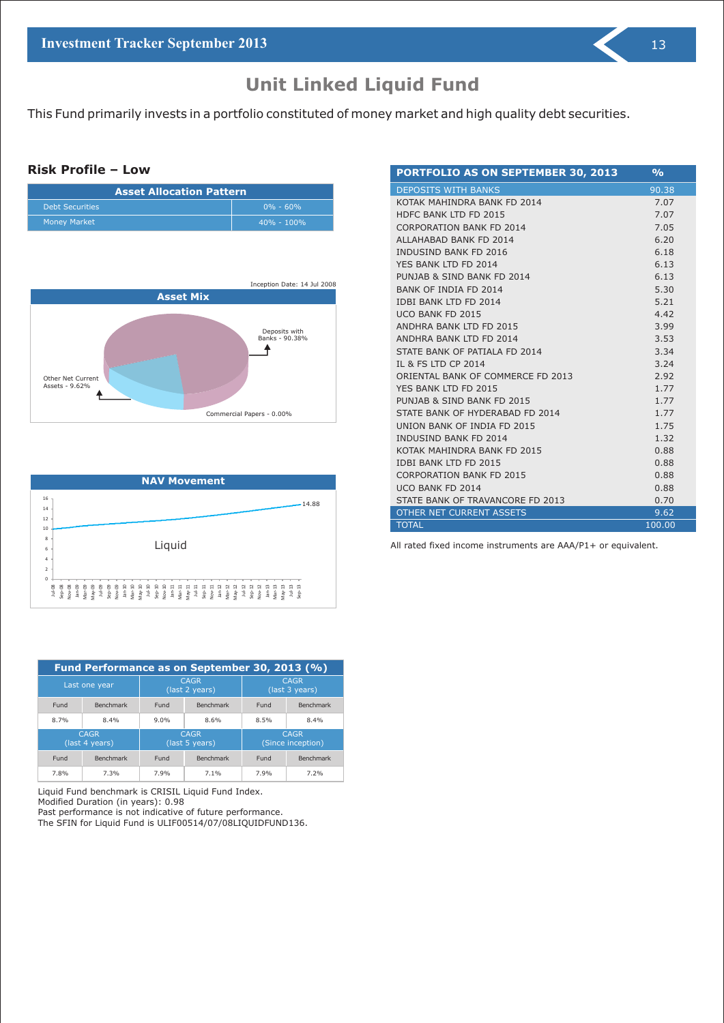## **Unit Linked Liquid Fund**

This Fund primarily invests in a portfolio constituted of money market and high quality debt securities.

#### **Risk Profile – Low**

| <b>Asset Allocation Pattern</b> |                |  |  |  |
|---------------------------------|----------------|--|--|--|
| <b>Debt Securities</b>          | $0\% - 60\%$   |  |  |  |
| <b>Money Market</b>             | $40\% - 100\%$ |  |  |  |





| <b>PORTFOLIO AS ON SEPTEMBER 30, 2013</b> | $\overline{\mathbf{O}/\mathbf{O}}$ |
|-------------------------------------------|------------------------------------|
| <b>DEPOSITS WITH BANKS</b>                | 90.38                              |
| KOTAK MAHINDRA BANK FD 2014               | 7.07                               |
| HDFC BANK ITD FD 2015                     | 7.07                               |
| <b>CORPORATION BANK FD 2014</b>           | 7.05                               |
| ALLAHABAD BANK FD 2014                    | 6.20                               |
| <b>INDUSIND BANK FD 2016</b>              | 6.18                               |
| YFS BANK ITD FD 2014                      | 6.13                               |
| PUNJAB & SIND BANK FD 2014                | 6.13                               |
| <b>BANK OF INDIA FD 2014</b>              | 5.30                               |
| <b>IDBI BANK ITD FD 2014</b>              | 5.21                               |
| UCO BANK FD 2015                          | 4.42                               |
| ANDHRA BANK LTD FD 2015                   | 3.99                               |
| ANDHRA BANK LTD FD 2014                   | 3.53                               |
| STATE BANK OF PATIALA ED 2014             | 3.34                               |
| IL & FS LTD CP 2014                       | 3.24                               |
| ORIENTAL BANK OF COMMERCE FD 2013         | 2.92                               |
| YFS BANK ITD FD 2015                      | 1.77                               |
| PUNJAB & SIND BANK FD 2015                | 1.77                               |
| STATE BANK OF HYDERABAD FD 2014           | 1.77                               |
| UNION BANK OF INDIA FD 2015               | 1.75                               |
| <b>INDUSIND BANK FD 2014</b>              | 1.32                               |
| KOTAK MAHINDRA BANK FD 2015               | 0.88                               |
| <b>IDBI BANK ITD FD 2015</b>              | 0.88                               |
| <b>CORPORATION BANK FD 2015</b>           | 0.88                               |
| UCO BANK FD 2014                          | 0.88                               |
| STATE BANK OF TRAVANCORE FD 2013          | 0.70                               |
| <b>OTHER NET CURRENT ASSETS</b>           | 9.62                               |
| <b>TOTAL</b>                              | 100.00                             |

All rated fixed income instruments are AAA/P1+ or equivalent.

|                               | Fund Performance as on September 30, 2013 (%) |      |                               |                               |                                  |  |  |
|-------------------------------|-----------------------------------------------|------|-------------------------------|-------------------------------|----------------------------------|--|--|
| Last one year                 |                                               |      | <b>CAGR</b><br>(last 2 years) | <b>CAGR</b><br>(last 3 years) |                                  |  |  |
| Fund                          | Benchmark                                     | Fund | <b>Benchmark</b>              | Fund                          | <b>Benchmark</b>                 |  |  |
| 8.7%                          | 8.4%                                          | 9.0% | 8.6%                          | 8.5%                          | 8.4%                             |  |  |
| <b>CAGR</b><br>(last 4 years) |                                               |      | <b>CAGR</b><br>(last 5 years) |                               | <b>CAGR</b><br>(Since inception) |  |  |
| Fund                          | <b>Benchmark</b>                              | Fund | <b>Benchmark</b>              | Fund                          | <b>Benchmark</b>                 |  |  |
| 7.8%                          | 7.3%                                          | 7.9% | 7.1%                          | 7.9%                          | 7.2%                             |  |  |

Liquid Fund benchmark is CRISIL Liquid Fund Index.

Modified Duration (in years): 0.98

Past performance is not indicative of future performance.

The SFIN for Liquid Fund is ULIF00514/07/08LIQUIDFUND136.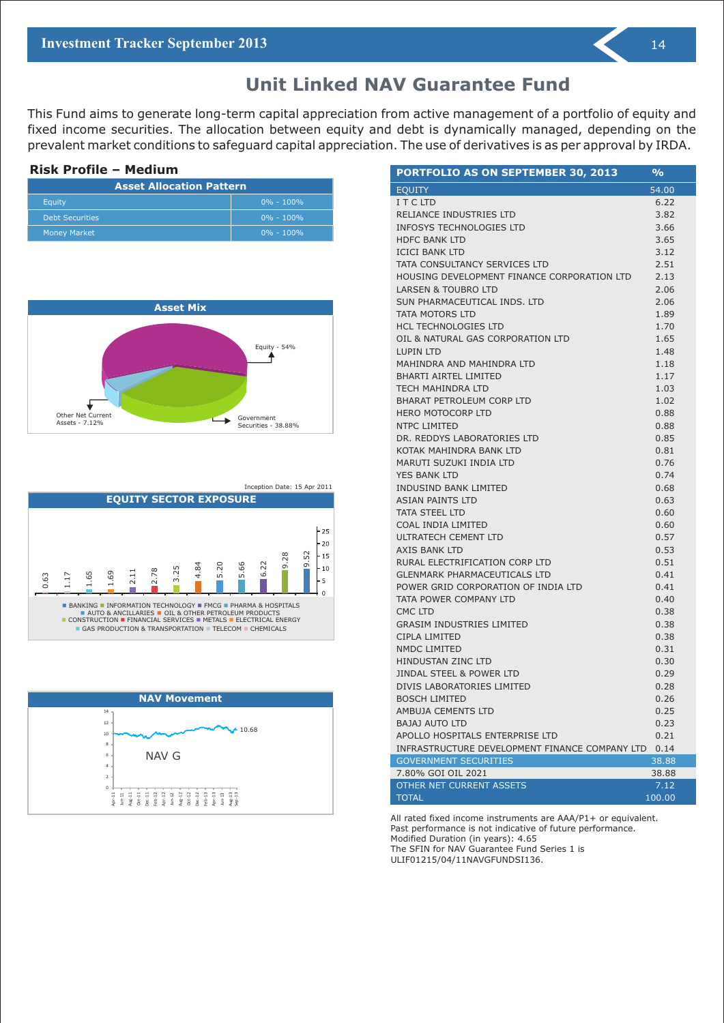## **Unit Linked NAV Guarantee Fund**

This Fund aims to generate long-term capital appreciation from active management of a portfolio of equity and fixed income securities. The allocation between equity and debt is dynamically managed, depending on the prevalent market conditions to safeguard capital appreciation. The use of derivatives is as per approval by IRDA.

| <b>Risk Profile - Medium</b>    |               |  |  |  |
|---------------------------------|---------------|--|--|--|
| <b>Asset Allocation Pattern</b> |               |  |  |  |
| Equity                          | $0\% - 100\%$ |  |  |  |
| <b>Debt Securities</b>          | $0\% - 100\%$ |  |  |  |
| <b>Money Market</b>             | $0\% - 100\%$ |  |  |  |



Inception Date: 15 Apr 2011





| PORTFOLIO AS ON SEPTEMBER 30, 2013             | %      |
|------------------------------------------------|--------|
| <b>EQUITY</b>                                  | 54.00  |
| I T C LTD                                      | 6.22   |
| RELIANCE INDUSTRIES LTD                        | 3.82   |
| INFOSYS TECHNOLOGIES LTD                       | 3.66   |
| <b>HDFC BANK LTD</b>                           | 3.65   |
| <b>ICICI BANK LTD</b>                          | 3.12   |
| TATA CONSULTANCY SERVICES LTD                  | 2.51   |
| HOUSING DEVELOPMENT FINANCE CORPORATION LTD    | 2.13   |
| LARSEN & TOUBRO LTD                            | 2.06   |
| SUN PHARMACEUTICAL INDS. LTD                   | 2.06   |
| TATA MOTORS LTD                                | 1.89   |
| HCL TECHNOLOGIES LTD                           | 1.70   |
| OIL & NATURAL GAS CORPORATION LTD              | 1.65   |
| <b>LUPIN LTD</b>                               | 1.48   |
| MAHINDRA AND MAHINDRA LTD                      | 1.18   |
| <b>BHARTI AIRTEL LIMITED</b>                   | 1.17   |
| TECH MAHINDRA LTD                              | 1.03   |
| BHARAT PETROLEUM CORP LTD                      | 1.02   |
| <b>HERO MOTOCORP LTD</b>                       | 0.88   |
| NTPC LIMITED                                   | 0.88   |
| DR. REDDYS LABORATORIES LTD                    | 0.85   |
| KOTAK MAHINDRA BANK LTD                        | 0.81   |
| MARUTI SUZUKI INDIA LTD                        | 0.76   |
| <b>YES BANK LTD</b>                            | 0.74   |
| <b>INDUSIND BANK LIMITED</b>                   | 0.68   |
| <b>ASIAN PAINTS LTD</b>                        | 0.63   |
| <b>TATA STEEL LTD</b>                          | 0.60   |
| COAL INDIA LIMITED                             | 0.60   |
| ULTRATECH CEMENT LTD                           | 0.57   |
| <b>AXIS BANK LTD</b>                           | 0.53   |
| RURAL ELECTRIFICATION CORP LTD                 | 0.51   |
| <b>GLENMARK PHARMACEUTICALS LTD</b>            | 0.41   |
| POWER GRID CORPORATION OF INDIA LTD            | 0.41   |
| TATA POWER COMPANY LTD                         | 0.40   |
| CMC LTD                                        | 0.38   |
| <b>GRASIM INDUSTRIES LIMITED</b>               | 0.38   |
| CIPLA LIMITED                                  | 0.38   |
| NMDC LIMITED                                   | 0.31   |
| HINDUSTAN ZINC LTD                             | 0.30   |
| <b>JINDAL STEEL &amp; POWER LTD</b>            | 0.29   |
| DIVIS LABORATORIES LIMITED                     | 0.28   |
| <b>BOSCH LIMITED</b>                           | 0.26   |
| AMBUJA CEMENTS LTD                             | 0.25   |
| BAJAJ AUTO LTD                                 | 0.23   |
| APOLLO HOSPITALS ENTERPRISE LTD                | 0.21   |
| INFRASTRUCTURE DEVELOPMENT FINANCE COMPANY LTD | 0.14   |
| <b>GOVERNMENT SECURITIES</b>                   | 38.88  |
| 7.80% GOI OIL 2021                             | 38.88  |
| OTHER NET CURRENT ASSETS                       | 7.12   |
| <b>TOTAL</b>                                   | 100.00 |

All rated fixed income instruments are AAA/P1+ or equivalent. Past performance is not indicative of future performance. Modified Duration (in years): 4.65 The SFIN for NAV Guarantee Fund Series 1 is ULIF01215/04/11NAVGFUNDSI136.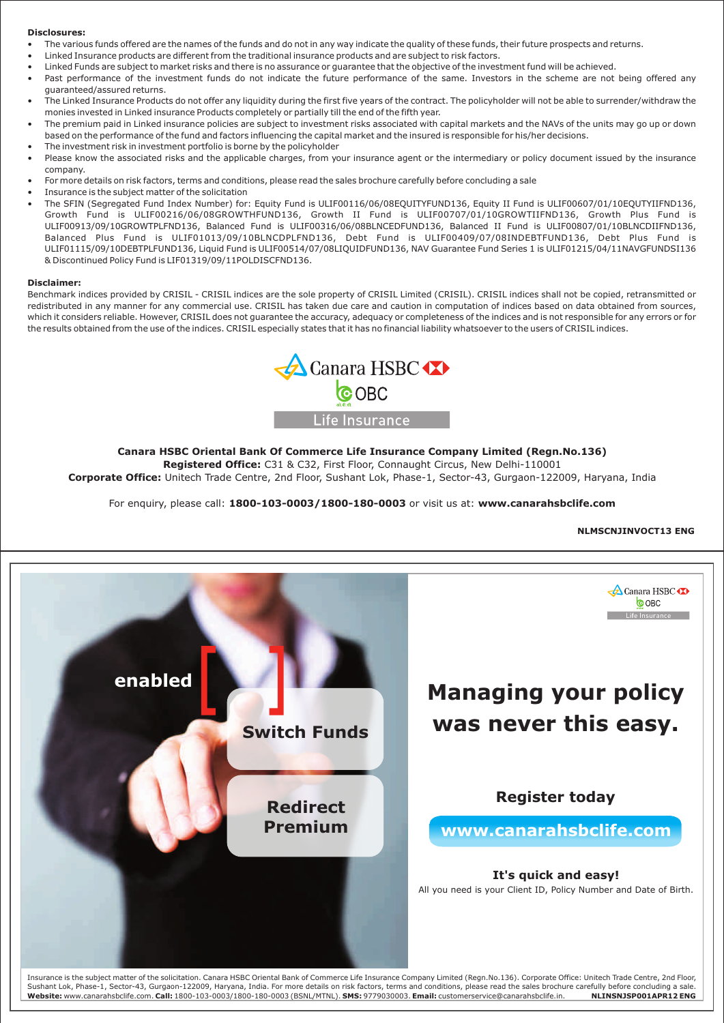#### **Disclosures:**

- The various funds offered are the names of the funds and do not in any way indicate the quality of these funds, their future prospects and returns.
- Linked Insurance products are different from the traditional insurance products and are subject to risk factors. •
- Linked Funds are subject to market risks and there is no assurance or guarantee that the objective of the investment fund will be achieved. •
- Past performance of the investment funds do not indicate the future performance of the same. Investors in the scheme are not being offered any guaranteed/assured returns. •
- The Linked Insurance Products do not offer any liquidity during the first five years of the contract. The policyholder will not be able to surrender/withdraw the monies invested in Linked insurance Products completely or partially till the end of the fifth year. •
- The premium paid in Linked insurance policies are subject to investment risks associated with capital markets and the NAVs of the units may go up or down based on the performance of the fund and factors influencing the capital market and the insured is responsible for his/her decisions. The investment risk in investment portfolio is borne by the policyholder •
- Please know the associated risks and the applicable charges, from your insurance agent or the intermediary or policy document issued by the insurance company. • •
- For more details on risk factors, terms and conditions, please read the sales brochure carefully before concluding a sale •
- Insurance is the subject matter of the solicitation •
- The SFIN (Segregated Fund Index Number) for: Equity Fund is ULIF00116/06/08EQUITYFUND136, Equity II Fund is ULIF00607/01/10EQUTYIIFND136, Growth Fund is ULIF00216/06/08GROWTHFUND136, Growth II Fund is ULIF00707/01/10GROWTIIFND136, Growth Plus Fund is ULIF00913/09/10GROWTPLFND136, Balanced Fund is ULIF00316/06/08BLNCEDFUND136, Balanced II Fund is ULIF00807/01/10BLNCDIIFND136, Balanced Plus Fund is ULIF01013/09/10BLNCDPLFND136, Debt Fund is ULIF00409/07/08INDEBTFUND136, Debt Plus Fund is ULIF01115/09/10DEBTPLFUND136, Liquid Fund is ULIF00514/07/08LIQUIDFUND136, NAV Guarantee Fund Series 1 is ULIF01215/04/11NAVGFUNDSI136 & Discontinued Policy Fund is LIF01319/09/11POLDISCFND136.

#### **Disclaimer:**

Benchmark indices provided by CRISIL - CRISIL indices are the sole property of CRISIL Limited (CRISIL). CRISIL indices shall not be copied, retransmitted or redistributed in any manner for any commercial use. CRISIL has taken due care and caution in computation of indices based on data obtained from sources, which it considers reliable. However, CRISIL does not quarantee the accuracy, adequacy or completeness of the indices and is not responsible for any errors or for the results obtained from the use of the indices. CRISIL especially states that it has no financial liability whatsoever to the users of CRISIL indices.



#### **Canara HSBC Oriental Bank Of Commerce Life Insurance Company Limited (Regn.No.136)**

**Registered Office:** C31 & C32, First Floor, Connaught Circus, New Delhi-110001 **Corporate Office:** Unitech Trade Centre, 2nd Floor, Sushant Lok, Phase-1, Sector-43, Gurgaon-122009, Haryana, India

For enquiry, please call: **1800-103-0003/1800-180-0003** or visit us at: **www.canarahsbclife.com**

#### **NLMSCNJINVOCT13 ENG**



Insurance is the subject matter of the solicitation. Canara HSBC Oriental Bank of Commerce Life Insurance Company Limited (Regn.No.136). Corporate Office: Unitech Trade Centre, 2nd Floor, Sushant Lok, Phase-1, Sector-43, Gurgaon-122009, Haryana, India. For more details on risk factors, terms and conditions, please read the sales brochure carefully before concluding a sale. **Website:** www.canarahsbclife.com. **Call:** 1800-103-0003/1800-180-0003 (BSNL/MTNL). **SMS:** 9779030003. **Email:** customerservice@canarahsbclife.in. **NLINSNJSP001APR12 ENG**